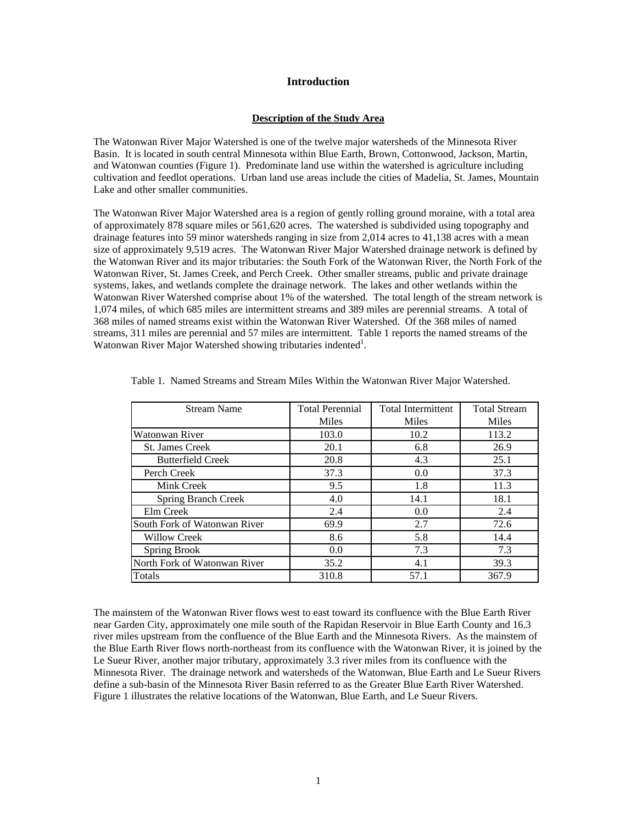## **Introduction**

#### **Description of the Study Area**

The Watonwan River Major Watershed is one of the twelve major watersheds of the Minnesota River Basin. It is located in south central Minnesota within Blue Earth, Brown, Cottonwood, Jackson, Martin, and Watonwan counties (Figure 1). Predominate land use within the watershed is agriculture including cultivation and feedlot operations. Urban land use areas include the cities of Madelia, St. James, Mountain Lake and other smaller communities.

The Watonwan River Major Watershed area is a region of gently rolling ground moraine, with a total area of approximately 878 square miles or 561,620 acres. The watershed is subdivided using topography and drainage features into 59 minor watersheds ranging in size from 2,014 acres to 41,138 acres with a mean size of approximately 9,519 acres. The Watonwan River Major Watershed drainage network is defined by the Watonwan River and its major tributaries: the South Fork of the Watonwan River, the North Fork of the Watonwan River, St. James Creek, and Perch Creek. Other smaller streams, public and private drainage systems, lakes, and wetlands complete the drainage network. The lakes and other wetlands within the Watonwan River Watershed comprise about 1% of the watershed. The total length of the stream network is 1,074 miles, of which 685 miles are intermittent streams and 389 miles are perennial streams. A total of 368 miles of named streams exist within the Watonwan River Watershed. Of the 368 miles of named streams, 311 miles are perennial and 57 miles are intermittent. Table 1 reports the named streams of the Watonwan River Major Watershed showing tributaries indented<sup>1</sup>.

| <b>Stream Name</b>           | <b>Total Perennial</b> | <b>Total Intermittent</b> | <b>Total Stream</b> |
|------------------------------|------------------------|---------------------------|---------------------|
|                              | Miles                  | Miles                     | Miles               |
| Watonwan River               | 103.0                  | 10.2                      | 113.2               |
| <b>St. James Creek</b>       | 20.1                   | 6.8                       | 26.9                |
| <b>Butterfield Creek</b>     | 20.8                   | 4.3                       | 25.1                |
| Perch Creek                  | 37.3                   | 0.0                       | 37.3                |
| Mink Creek                   | 9.5                    | 1.8                       | 11.3                |
| <b>Spring Branch Creek</b>   | 4.0                    | 14.1                      | 18.1                |
| Elm Creek                    | 2.4                    | 0.0                       | 2.4                 |
| South Fork of Watonwan River | 69.9                   | 2.7                       | 72.6                |
| <b>Willow Creek</b>          | 8.6                    | 5.8                       | 14.4                |
| Spring Brook                 | 0.0                    | 7.3                       | 7.3                 |
| North Fork of Watonwan River | 35.2                   | 4.1                       | 39.3                |
| Totals                       | 310.8                  | 57.1                      | 367.9               |

Table 1. Named Streams and Stream Miles Within the Watonwan River Major Watershed.

The mainstem of the Watonwan River flows west to east toward its confluence with the Blue Earth River near Garden City, approximately one mile south of the Rapidan Reservoir in Blue Earth County and 16.3 river miles upstream from the confluence of the Blue Earth and the Minnesota Rivers. As the mainstem of the Blue Earth River flows north-northeast from its confluence with the Watonwan River, it is joined by the Le Sueur River, another major tributary, approximately 3.3 river miles from its confluence with the Minnesota River. The drainage network and watersheds of the Watonwan, Blue Earth and Le Sueur Rivers define a sub-basin of the Minnesota River Basin referred to as the Greater Blue Earth River Watershed. Figure 1 illustrates the relative locations of the Watonwan, Blue Earth, and Le Sueur Rivers.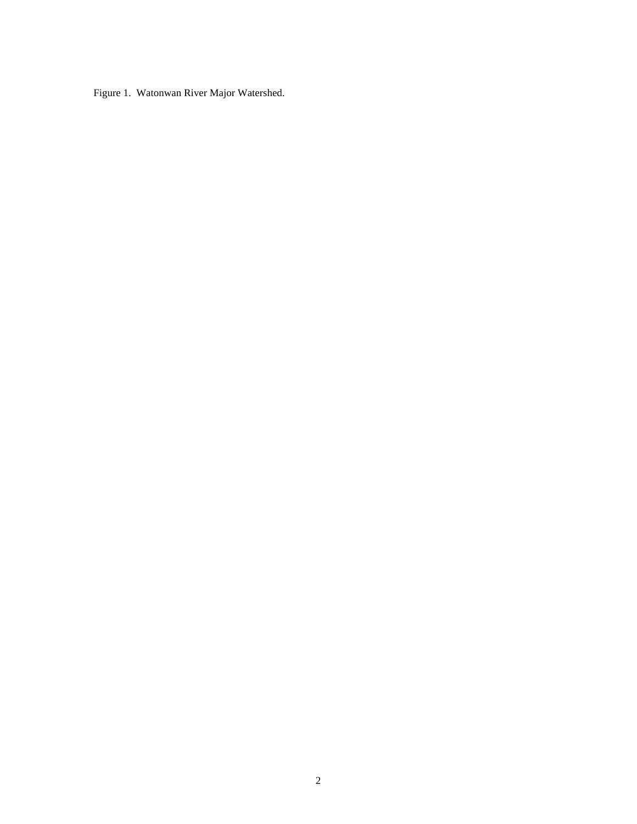Figure 1. Watonwan River Major Watershed.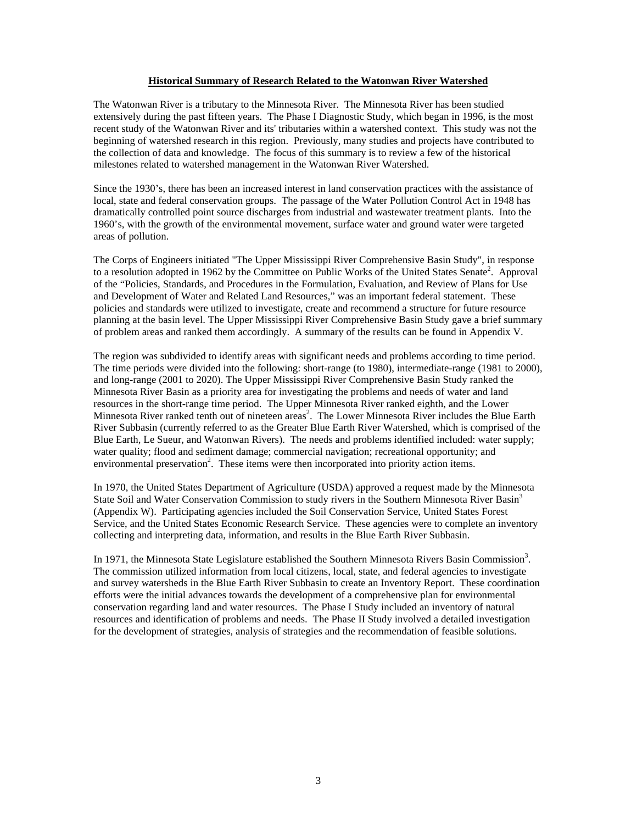## **Historical Summary of Research Related to the Watonwan River Watershed**

The Watonwan River is a tributary to the Minnesota River. The Minnesota River has been studied extensively during the past fifteen years. The Phase I Diagnostic Study, which began in 1996, is the most recent study of the Watonwan River and its' tributaries within a watershed context. This study was not the beginning of watershed research in this region. Previously, many studies and projects have contributed to the collection of data and knowledge. The focus of this summary is to review a few of the historical milestones related to watershed management in the Watonwan River Watershed.

Since the 1930's, there has been an increased interest in land conservation practices with the assistance of local, state and federal conservation groups. The passage of the Water Pollution Control Act in 1948 has dramatically controlled point source discharges from industrial and wastewater treatment plants. Into the 1960's, with the growth of the environmental movement, surface water and ground water were targeted areas of pollution.

The Corps of Engineers initiated "The Upper Mississippi River Comprehensive Basin Study", in response to a resolution adopted in 1962 by the Committee on Public Works of the United States Senate<sup>2</sup>. Approval of the "Policies, Standards, and Procedures in the Formulation, Evaluation, and Review of Plans for Use and Development of Water and Related Land Resources," was an important federal statement. These policies and standards were utilized to investigate, create and recommend a structure for future resource planning at the basin level. The Upper Mississippi River Comprehensive Basin Study gave a brief summary of problem areas and ranked them accordingly. A summary of the results can be found in Appendix V.

The region was subdivided to identify areas with significant needs and problems according to time period. The time periods were divided into the following: short-range (to 1980), intermediate-range (1981 to 2000), and long-range (2001 to 2020). The Upper Mississippi River Comprehensive Basin Study ranked the Minnesota River Basin as a priority area for investigating the problems and needs of water and land resources in the short-range time period. The Upper Minnesota River ranked eighth, and the Lower Minnesota River ranked tenth out of nineteen areas<sup>2</sup>. The Lower Minnesota River includes the Blue Earth River Subbasin (currently referred to as the Greater Blue Earth River Watershed, which is comprised of the Blue Earth, Le Sueur, and Watonwan Rivers). The needs and problems identified included: water supply; water quality; flood and sediment damage; commercial navigation; recreational opportunity; and environmental preservation<sup>2</sup>. These items were then incorporated into priority action items.

In 1970, the United States Department of Agriculture (USDA) approved a request made by the Minnesota State Soil and Water Conservation Commission to study rivers in the Southern Minnesota River Basin<sup>3</sup> (Appendix W). Participating agencies included the Soil Conservation Service, United States Forest Service, and the United States Economic Research Service. These agencies were to complete an inventory collecting and interpreting data, information, and results in the Blue Earth River Subbasin.

In 1971, the Minnesota State Legislature established the Southern Minnesota Rivers Basin Commission<sup>3</sup>. The commission utilized information from local citizens, local, state, and federal agencies to investigate and survey watersheds in the Blue Earth River Subbasin to create an Inventory Report. These coordination efforts were the initial advances towards the development of a comprehensive plan for environmental conservation regarding land and water resources. The Phase I Study included an inventory of natural resources and identification of problems and needs. The Phase II Study involved a detailed investigation for the development of strategies, analysis of strategies and the recommendation of feasible solutions.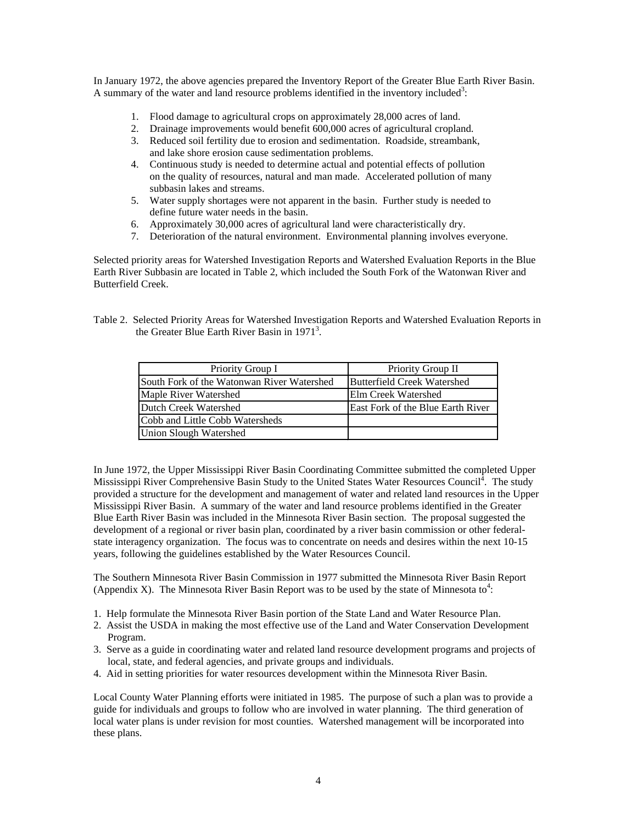In January 1972, the above agencies prepared the Inventory Report of the Greater Blue Earth River Basin. A summary of the water and land resource problems identified in the inventory included<sup>3</sup>:

- 1. Flood damage to agricultural crops on approximately 28,000 acres of land.
- 2. Drainage improvements would benefit 600,000 acres of agricultural cropland.
- 3. Reduced soil fertility due to erosion and sedimentation. Roadside, streambank, and lake shore erosion cause sedimentation problems.
- 4. Continuous study is needed to determine actual and potential effects of pollution on the quality of resources, natural and man made. Accelerated pollution of many subbasin lakes and streams.
- 5. Water supply shortages were not apparent in the basin. Further study is needed to define future water needs in the basin.
- 6. Approximately 30,000 acres of agricultural land were characteristically dry.
- 7. Deterioration of the natural environment. Environmental planning involves everyone.

Selected priority areas for Watershed Investigation Reports and Watershed Evaluation Reports in the Blue Earth River Subbasin are located in Table 2, which included the South Fork of the Watonwan River and Butterfield Creek.

Table 2. Selected Priority Areas for Watershed Investigation Reports and Watershed Evaluation Reports in the Greater Blue Earth River Basin in  $1971<sup>3</sup>$ .

| Priority Group I                           | Priority Group II                 |
|--------------------------------------------|-----------------------------------|
| South Fork of the Watonwan River Watershed | Butterfield Creek Watershed       |
| Maple River Watershed                      | Elm Creek Watershed               |
| Dutch Creek Watershed                      | East Fork of the Blue Earth River |
| Cobb and Little Cobb Watersheds            |                                   |
| <b>Union Slough Watershed</b>              |                                   |

In June 1972, the Upper Mississippi River Basin Coordinating Committee submitted the completed Upper Mississippi River Comprehensive Basin Study to the United States Water Resources Council<sup>4</sup>. The study provided a structure for the development and management of water and related land resources in the Upper Mississippi River Basin. A summary of the water and land resource problems identified in the Greater Blue Earth River Basin was included in the Minnesota River Basin section. The proposal suggested the development of a regional or river basin plan, coordinated by a river basin commission or other federalstate interagency organization. The focus was to concentrate on needs and desires within the next 10-15 years, following the guidelines established by the Water Resources Council.

The Southern Minnesota River Basin Commission in 1977 submitted the Minnesota River Basin Report (Appendix X). The Minnesota River Basin Report was to be used by the state of Minnesota to<sup>4</sup>:

- 1. Help formulate the Minnesota River Basin portion of the State Land and Water Resource Plan.
- 2. Assist the USDA in making the most effective use of the Land and Water Conservation Development Program.
- 3. Serve as a guide in coordinating water and related land resource development programs and projects of local, state, and federal agencies, and private groups and individuals.
- 4. Aid in setting priorities for water resources development within the Minnesota River Basin.

Local County Water Planning efforts were initiated in 1985. The purpose of such a plan was to provide a guide for individuals and groups to follow who are involved in water planning. The third generation of local water plans is under revision for most counties. Watershed management will be incorporated into these plans.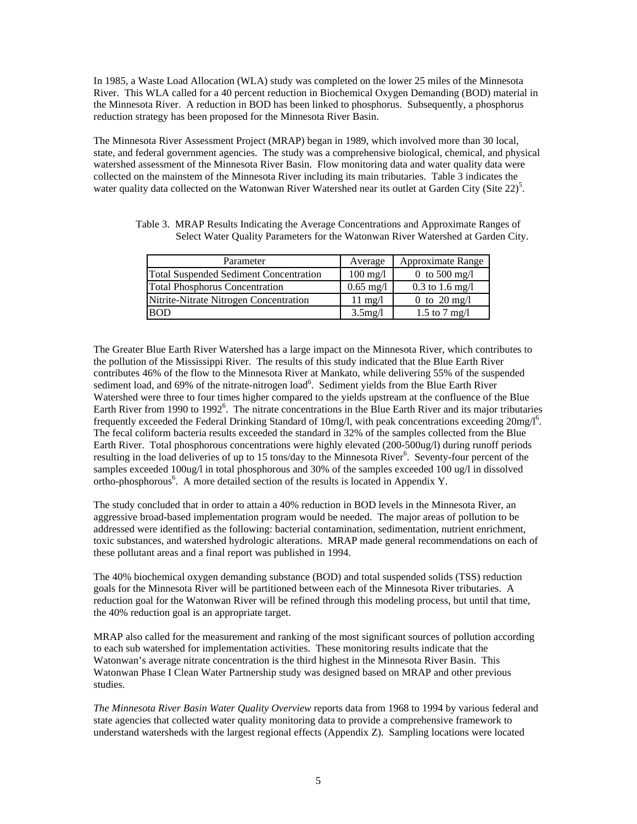In 1985, a Waste Load Allocation (WLA) study was completed on the lower 25 miles of the Minnesota River. This WLA called for a 40 percent reduction in Biochemical Oxygen Demanding (BOD) material in the Minnesota River. A reduction in BOD has been linked to phosphorus. Subsequently, a phosphorus reduction strategy has been proposed for the Minnesota River Basin.

The Minnesota River Assessment Project (MRAP) began in 1989, which involved more than 30 local, state, and federal government agencies. The study was a comprehensive biological, chemical, and physical watershed assessment of the Minnesota River Basin. Flow monitoring data and water quality data were collected on the mainstem of the Minnesota River including its main tributaries. Table 3 indicates the water quality data collected on the Watonwan River Watershed near its outlet at Garden City (Site 22)<sup>5</sup>.

Table 3. MRAP Results Indicating the Average Concentrations and Approximate Ranges of Select Water Quality Parameters for the Watonwan River Watershed at Garden City.

| Parameter                              | Average             | Approximate Range      |
|----------------------------------------|---------------------|------------------------|
| Total Suspended Sediment Concentration | $100 \text{ mg/l}$  | 0 to 500 mg/l          |
| <b>Total Phosphorus Concentration</b>  | $0.65 \text{ mg}/1$ | $0.3$ to 1.6 mg/l      |
| Nitrite-Nitrate Nitrogen Concentration | $11 \text{ mg}/1$   | 0 to $20 \text{ mg/l}$ |
| <b>BOD</b>                             | 3.5mg/l             | 1.5 to 7 mg/l          |

The Greater Blue Earth River Watershed has a large impact on the Minnesota River, which contributes to the pollution of the Mississippi River. The results of this study indicated that the Blue Earth River contributes 46% of the flow to the Minnesota River at Mankato, while delivering 55% of the suspended sediment load, and 69% of the nitrate-nitrogen load<sup>6</sup>. Sediment yields from the Blue Earth River Watershed were three to four times higher compared to the yields upstream at the confluence of the Blue Earth River from 1990 to 1992<sup>6</sup>. The nitrate concentrations in the Blue Earth River and its major tributaries frequently exceeded the Federal Drinking Standard of 10mg/l, with peak concentrations exceeding  $20$ mg/l<sup>6</sup>. The fecal coliform bacteria results exceeded the standard in 32% of the samples collected from the Blue Earth River. Total phosphorous concentrations were highly elevated (200-500ug/l) during runoff periods resulting in the load deliveries of up to 15 tons/day to the Minnesota River<sup>6</sup>. Seventy-four percent of the samples exceeded 100ug/l in total phosphorous and 30% of the samples exceeded 100 ug/l in dissolved ortho-phosphorous<sup>6</sup>. A more detailed section of the results is located in Appendix Y.

The study concluded that in order to attain a 40% reduction in BOD levels in the Minnesota River, an aggressive broad-based implementation program would be needed. The major areas of pollution to be addressed were identified as the following: bacterial contamination, sedimentation, nutrient enrichment, toxic substances, and watershed hydrologic alterations. MRAP made general recommendations on each of these pollutant areas and a final report was published in 1994.

The 40% biochemical oxygen demanding substance (BOD) and total suspended solids (TSS) reduction goals for the Minnesota River will be partitioned between each of the Minnesota River tributaries. A reduction goal for the Watonwan River will be refined through this modeling process, but until that time, the 40% reduction goal is an appropriate target.

MRAP also called for the measurement and ranking of the most significant sources of pollution according to each sub watershed for implementation activities. These monitoring results indicate that the Watonwan's average nitrate concentration is the third highest in the Minnesota River Basin. This Watonwan Phase I Clean Water Partnership study was designed based on MRAP and other previous studies.

*The Minnesota River Basin Water Quality Overview* reports data from 1968 to 1994 by various federal and state agencies that collected water quality monitoring data to provide a comprehensive framework to understand watersheds with the largest regional effects (Appendix Z). Sampling locations were located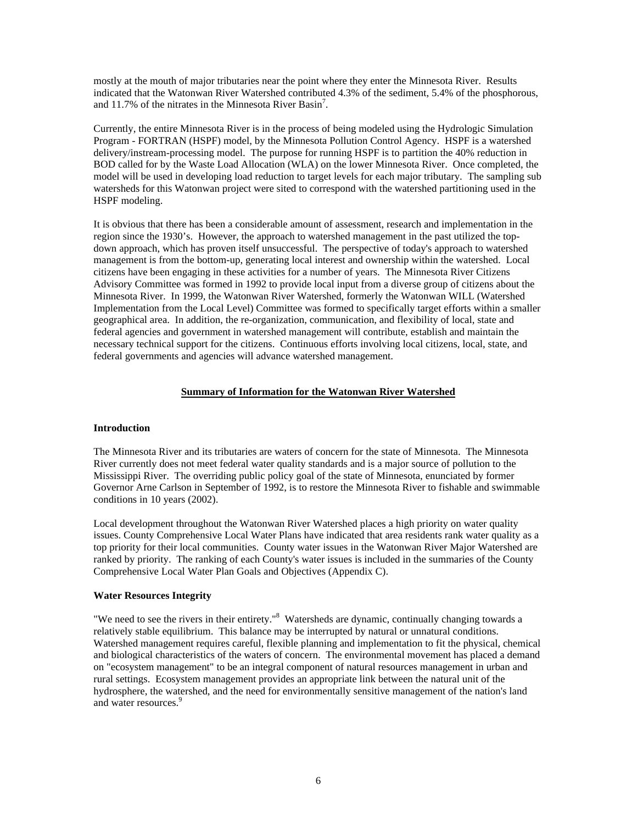mostly at the mouth of major tributaries near the point where they enter the Minnesota River. Results indicated that the Watonwan River Watershed contributed 4.3% of the sediment, 5.4% of the phosphorous, and 11.7% of the nitrates in the Minnesota River Basin<sup>7</sup>.

Currently, the entire Minnesota River is in the process of being modeled using the Hydrologic Simulation Program - FORTRAN (HSPF) model, by the Minnesota Pollution Control Agency. HSPF is a watershed delivery/instream-processing model. The purpose for running HSPF is to partition the 40% reduction in BOD called for by the Waste Load Allocation (WLA) on the lower Minnesota River. Once completed, the model will be used in developing load reduction to target levels for each major tributary. The sampling sub watersheds for this Watonwan project were sited to correspond with the watershed partitioning used in the HSPF modeling.

It is obvious that there has been a considerable amount of assessment, research and implementation in the region since the 1930's. However, the approach to watershed management in the past utilized the topdown approach, which has proven itself unsuccessful. The perspective of today's approach to watershed management is from the bottom-up, generating local interest and ownership within the watershed. Local citizens have been engaging in these activities for a number of years. The Minnesota River Citizens Advisory Committee was formed in 1992 to provide local input from a diverse group of citizens about the Minnesota River. In 1999, the Watonwan River Watershed, formerly the Watonwan WILL (Watershed Implementation from the Local Level) Committee was formed to specifically target efforts within a smaller geographical area. In addition, the re-organization, communication, and flexibility of local, state and federal agencies and government in watershed management will contribute, establish and maintain the necessary technical support for the citizens. Continuous efforts involving local citizens, local, state, and federal governments and agencies will advance watershed management.

# **Summary of Information for the Watonwan River Watershed**

## **Introduction**

The Minnesota River and its tributaries are waters of concern for the state of Minnesota. The Minnesota River currently does not meet federal water quality standards and is a major source of pollution to the Mississippi River. The overriding public policy goal of the state of Minnesota, enunciated by former Governor Arne Carlson in September of 1992, is to restore the Minnesota River to fishable and swimmable conditions in 10 years (2002).

Local development throughout the Watonwan River Watershed places a high priority on water quality issues. County Comprehensive Local Water Plans have indicated that area residents rank water quality as a top priority for their local communities. County water issues in the Watonwan River Major Watershed are ranked by priority. The ranking of each County's water issues is included in the summaries of the County Comprehensive Local Water Plan Goals and Objectives (Appendix C).

## **Water Resources Integrity**

"We need to see the rivers in their entirety."<sup>8</sup> Watersheds are dynamic, continually changing towards a relatively stable equilibrium. This balance may be interrupted by natural or unnatural conditions. Watershed management requires careful, flexible planning and implementation to fit the physical, chemical and biological characteristics of the waters of concern. The environmental movement has placed a demand on "ecosystem management" to be an integral component of natural resources management in urban and rural settings. Ecosystem management provides an appropriate link between the natural unit of the hydrosphere, the watershed, and the need for environmentally sensitive management of the nation's land and water resources.<sup>9</sup>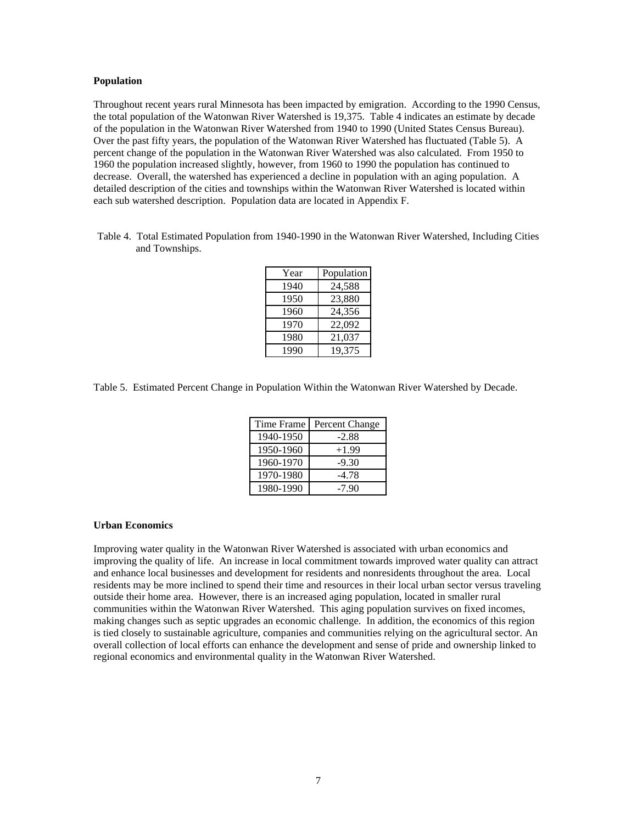## **Population**

Throughout recent years rural Minnesota has been impacted by emigration. According to the 1990 Census, the total population of the Watonwan River Watershed is 19,375. Table 4 indicates an estimate by decade of the population in the Watonwan River Watershed from 1940 to 1990 (United States Census Bureau). Over the past fifty years, the population of the Watonwan River Watershed has fluctuated (Table 5). A percent change of the population in the Watonwan River Watershed was also calculated. From 1950 to 1960 the population increased slightly, however, from 1960 to 1990 the population has continued to decrease. Overall, the watershed has experienced a decline in population with an aging population. A detailed description of the cities and townships within the Watonwan River Watershed is located within each sub watershed description. Population data are located in Appendix F.

Table 4. Total Estimated Population from 1940-1990 in the Watonwan River Watershed, Including Cities and Townships.

| Year | Population |
|------|------------|
| 1940 | 24,588     |
| 1950 | 23,880     |
| 1960 | 24,356     |
| 1970 | 22,092     |
| 1980 | 21,037     |
| 1990 | 19.375     |

Table 5. Estimated Percent Change in Population Within the Watonwan River Watershed by Decade.

| Time Frame | Percent Change |
|------------|----------------|
| 1940-1950  | $-2.88$        |
| 1950-1960  | $+1.99$        |
| 1960-1970  | $-9.30$        |
| 1970-1980  | -4.78          |
| 1980-1990  | -7.90          |

#### **Urban Economics**

Improving water quality in the Watonwan River Watershed is associated with urban economics and improving the quality of life. An increase in local commitment towards improved water quality can attract and enhance local businesses and development for residents and nonresidents throughout the area. Local residents may be more inclined to spend their time and resources in their local urban sector versus traveling outside their home area. However, there is an increased aging population, located in smaller rural communities within the Watonwan River Watershed. This aging population survives on fixed incomes, making changes such as septic upgrades an economic challenge. In addition, the economics of this region is tied closely to sustainable agriculture, companies and communities relying on the agricultural sector. An overall collection of local efforts can enhance the development and sense of pride and ownership linked to regional economics and environmental quality in the Watonwan River Watershed.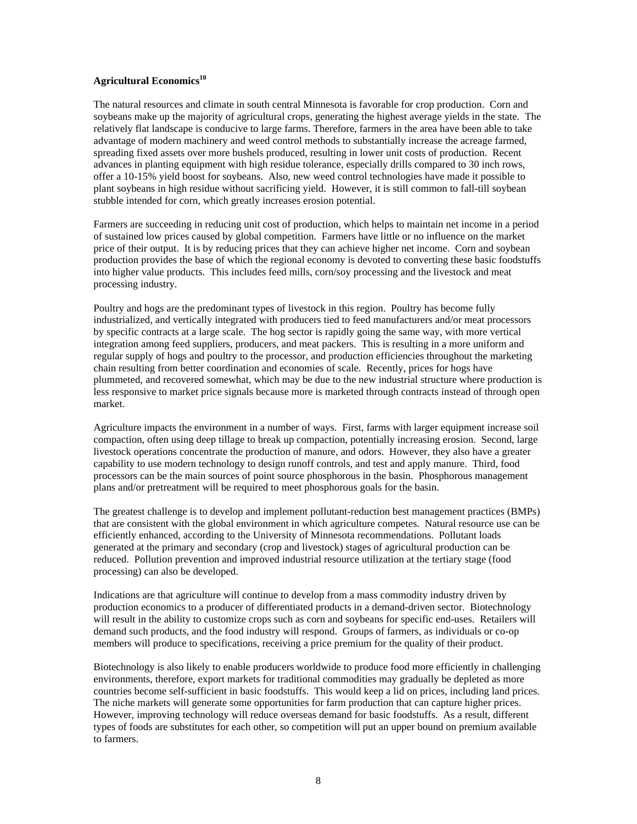# **Agricultural Economics<sup>10</sup>**

The natural resources and climate in south central Minnesota is favorable for crop production. Corn and soybeans make up the majority of agricultural crops, generating the highest average yields in the state. The relatively flat landscape is conducive to large farms. Therefore, farmers in the area have been able to take advantage of modern machinery and weed control methods to substantially increase the acreage farmed, spreading fixed assets over more bushels produced, resulting in lower unit costs of production. Recent advances in planting equipment with high residue tolerance, especially drills compared to 30 inch rows, offer a 10-15% yield boost for soybeans. Also, new weed control technologies have made it possible to plant soybeans in high residue without sacrificing yield. However, it is still common to fall-till soybean stubble intended for corn, which greatly increases erosion potential.

Farmers are succeeding in reducing unit cost of production, which helps to maintain net income in a period of sustained low prices caused by global competition. Farmers have little or no influence on the market price of their output. It is by reducing prices that they can achieve higher net income. Corn and soybean production provides the base of which the regional economy is devoted to converting these basic foodstuffs into higher value products. This includes feed mills, corn/soy processing and the livestock and meat processing industry.

Poultry and hogs are the predominant types of livestock in this region. Poultry has become fully industrialized, and vertically integrated with producers tied to feed manufacturers and/or meat processors by specific contracts at a large scale. The hog sector is rapidly going the same way, with more vertical integration among feed suppliers, producers, and meat packers. This is resulting in a more uniform and regular supply of hogs and poultry to the processor, and production efficiencies throughout the marketing chain resulting from better coordination and economies of scale. Recently, prices for hogs have plummeted, and recovered somewhat, which may be due to the new industrial structure where production is less responsive to market price signals because more is marketed through contracts instead of through open market.

Agriculture impacts the environment in a number of ways. First, farms with larger equipment increase soil compaction, often using deep tillage to break up compaction, potentially increasing erosion. Second, large livestock operations concentrate the production of manure, and odors. However, they also have a greater capability to use modern technology to design runoff controls, and test and apply manure. Third, food processors can be the main sources of point source phosphorous in the basin. Phosphorous management plans and/or pretreatment will be required to meet phosphorous goals for the basin.

The greatest challenge is to develop and implement pollutant-reduction best management practices (BMPs) that are consistent with the global environment in which agriculture competes. Natural resource use can be efficiently enhanced, according to the University of Minnesota recommendations. Pollutant loads generated at the primary and secondary (crop and livestock) stages of agricultural production can be reduced. Pollution prevention and improved industrial resource utilization at the tertiary stage (food processing) can also be developed.

Indications are that agriculture will continue to develop from a mass commodity industry driven by production economics to a producer of differentiated products in a demand-driven sector. Biotechnology will result in the ability to customize crops such as corn and soybeans for specific end-uses. Retailers will demand such products, and the food industry will respond. Groups of farmers, as individuals or co-op members will produce to specifications, receiving a price premium for the quality of their product.

Biotechnology is also likely to enable producers worldwide to produce food more efficiently in challenging environments, therefore, export markets for traditional commodities may gradually be depleted as more countries become self-sufficient in basic foodstuffs. This would keep a lid on prices, including land prices. The niche markets will generate some opportunities for farm production that can capture higher prices. However, improving technology will reduce overseas demand for basic foodstuffs. As a result, different types of foods are substitutes for each other, so competition will put an upper bound on premium available to farmers.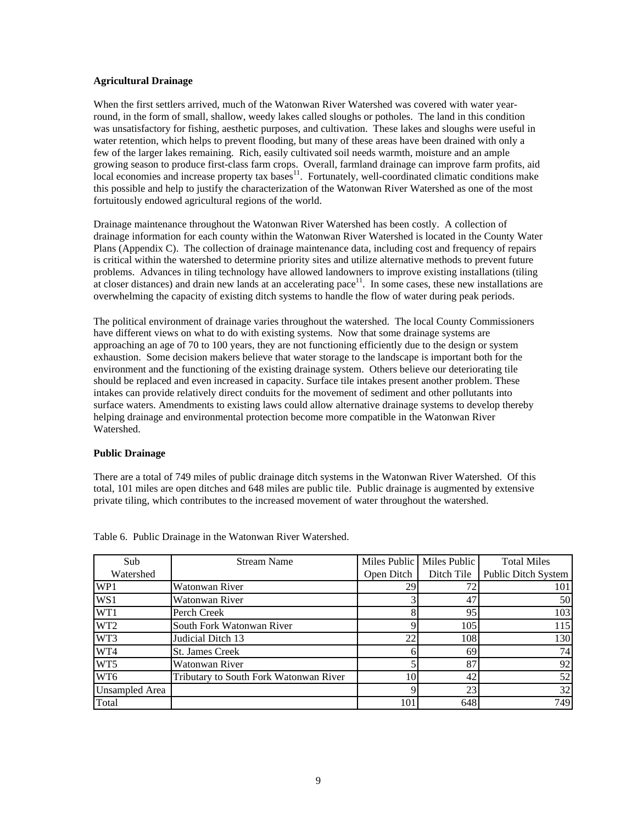# **Agricultural Drainage**

When the first settlers arrived, much of the Watonwan River Watershed was covered with water yearround, in the form of small, shallow, weedy lakes called sloughs or potholes. The land in this condition was unsatisfactory for fishing, aesthetic purposes, and cultivation. These lakes and sloughs were useful in water retention, which helps to prevent flooding, but many of these areas have been drained with only a few of the larger lakes remaining. Rich, easily cultivated soil needs warmth, moisture and an ample growing season to produce first-class farm crops. Overall, farmland drainage can improve farm profits, aid local economies and increase property tax bases<sup>11</sup>. Fortunately, well-coordinated climatic conditions make this possible and help to justify the characterization of the Watonwan River Watershed as one of the most fortuitously endowed agricultural regions of the world.

Drainage maintenance throughout the Watonwan River Watershed has been costly. A collection of drainage information for each county within the Watonwan River Watershed is located in the County Water Plans (Appendix C). The collection of drainage maintenance data, including cost and frequency of repairs is critical within the watershed to determine priority sites and utilize alternative methods to prevent future problems. Advances in tiling technology have allowed landowners to improve existing installations (tiling at closer distances) and drain new lands at an accelerating pace<sup>11</sup>. In some cases, these new installations are overwhelming the capacity of existing ditch systems to handle the flow of water during peak periods.

The political environment of drainage varies throughout the watershed. The local County Commissioners have different views on what to do with existing systems. Now that some drainage systems are approaching an age of 70 to 100 years, they are not functioning efficiently due to the design or system exhaustion. Some decision makers believe that water storage to the landscape is important both for the environment and the functioning of the existing drainage system. Others believe our deteriorating tile should be replaced and even increased in capacity. Surface tile intakes present another problem. These intakes can provide relatively direct conduits for the movement of sediment and other pollutants into surface waters. Amendments to existing laws could allow alternative drainage systems to develop thereby helping drainage and environmental protection become more compatible in the Watonwan River Watershed.

## **Public Drainage**

There are a total of 749 miles of public drainage ditch systems in the Watonwan River Watershed. Of this total, 101 miles are open ditches and 648 miles are public tile. Public drainage is augmented by extensive private tiling, which contributes to the increased movement of water throughout the watershed.

| Sub             | <b>Stream Name</b>                     |            | Miles Public   Miles Public | <b>Total Miles</b>  |
|-----------------|----------------------------------------|------------|-----------------------------|---------------------|
| Watershed       |                                        | Open Ditch | Ditch Tile                  | Public Ditch System |
| WP1             | Watonwan River                         | 29         | 72                          | 101                 |
| WS1             | Watonwan River                         |            | 47                          | 50                  |
| WT1             | Perch Creek                            | 8          | 95                          | 103                 |
| WT <sub>2</sub> | South Fork Watonwan River              |            | 105                         | 115                 |
| WT3             | Judicial Ditch 13                      | 22         | 108                         | 130                 |
| WT4             | <b>St. James Creek</b>                 | h          | 69                          | 74                  |
| WT <sub>5</sub> | Watonwan River                         |            | 87                          | 92                  |
| WT6             | Tributary to South Fork Watonwan River | 10         | 42                          | 52                  |
| Unsampled Area  |                                        | Q          | 23                          | 32                  |
| Total           |                                        | 101        | 648                         | 749                 |

Table 6. Public Drainage in the Watonwan River Watershed.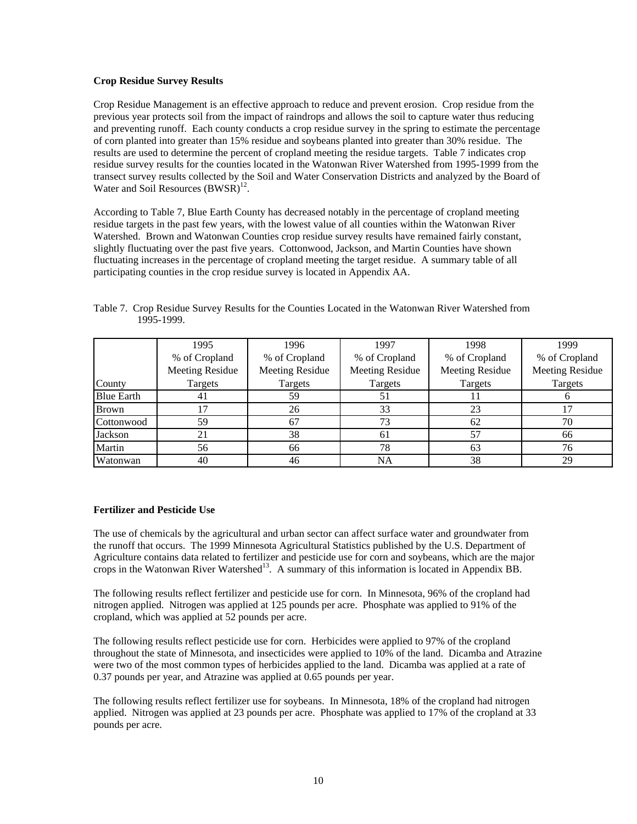# **Crop Residue Survey Results**

Crop Residue Management is an effective approach to reduce and prevent erosion. Crop residue from the previous year protects soil from the impact of raindrops and allows the soil to capture water thus reducing and preventing runoff. Each county conducts a crop residue survey in the spring to estimate the percentage of corn planted into greater than 15% residue and soybeans planted into greater than 30% residue. The results are used to determine the percent of cropland meeting the residue targets. Table 7 indicates crop residue survey results for the counties located in the Watonwan River Watershed from 1995-1999 from the transect survey results collected by the Soil and Water Conservation Districts and analyzed by the Board of Water and Soil Resources (BWSR)<sup>12</sup>.

According to Table 7, Blue Earth County has decreased notably in the percentage of cropland meeting residue targets in the past few years, with the lowest value of all counties within the Watonwan River Watershed. Brown and Watonwan Counties crop residue survey results have remained fairly constant, slightly fluctuating over the past five years. Cottonwood, Jackson, and Martin Counties have shown fluctuating increases in the percentage of cropland meeting the target residue. A summary table of all participating counties in the crop residue survey is located in Appendix AA.

|                   | 1995                   | 1996                   | 1997                   | 1998                   | 1999                   |
|-------------------|------------------------|------------------------|------------------------|------------------------|------------------------|
|                   | % of Cropland          | % of Cropland          | % of Cropland          | % of Cropland          | % of Cropland          |
|                   | <b>Meeting Residue</b> | <b>Meeting Residue</b> | <b>Meeting Residue</b> | <b>Meeting Residue</b> | <b>Meeting Residue</b> |
| County            | Targets                | Targets                | Targets                | Targets                | Targets                |
| <b>Blue Earth</b> | 41                     | 59                     |                        |                        |                        |
| <b>Brown</b>      |                        | 26                     | 33                     | 23                     |                        |
| Cottonwood        | 59                     | 67                     | 73                     | 62                     | 70                     |
| Jackson           | 21                     | 38                     | 61                     | 57                     | 66                     |
| Martin            | 56                     | 66                     | 78                     | 63                     | 76                     |
| Watonwan          | 40                     | 46                     | NA                     | 38                     | 29                     |

Table 7. Crop Residue Survey Results for the Counties Located in the Watonwan River Watershed from 1995-1999.

# **Fertilizer and Pesticide Use**

The use of chemicals by the agricultural and urban sector can affect surface water and groundwater from the runoff that occurs. The 1999 Minnesota Agricultural Statistics published by the U.S. Department of Agriculture contains data related to fertilizer and pesticide use for corn and soybeans, which are the major crops in the Watonwan River Watershed<sup>13</sup>. A summary of this information is located in Appendix BB.

The following results reflect fertilizer and pesticide use for corn. In Minnesota, 96% of the cropland had nitrogen applied. Nitrogen was applied at 125 pounds per acre. Phosphate was applied to 91% of the cropland, which was applied at 52 pounds per acre.

The following results reflect pesticide use for corn. Herbicides were applied to 97% of the cropland throughout the state of Minnesota, and insecticides were applied to 10% of the land. Dicamba and Atrazine were two of the most common types of herbicides applied to the land. Dicamba was applied at a rate of 0.37 pounds per year, and Atrazine was applied at 0.65 pounds per year.

The following results reflect fertilizer use for soybeans. In Minnesota, 18% of the cropland had nitrogen applied. Nitrogen was applied at 23 pounds per acre. Phosphate was applied to 17% of the cropland at 33 pounds per acre.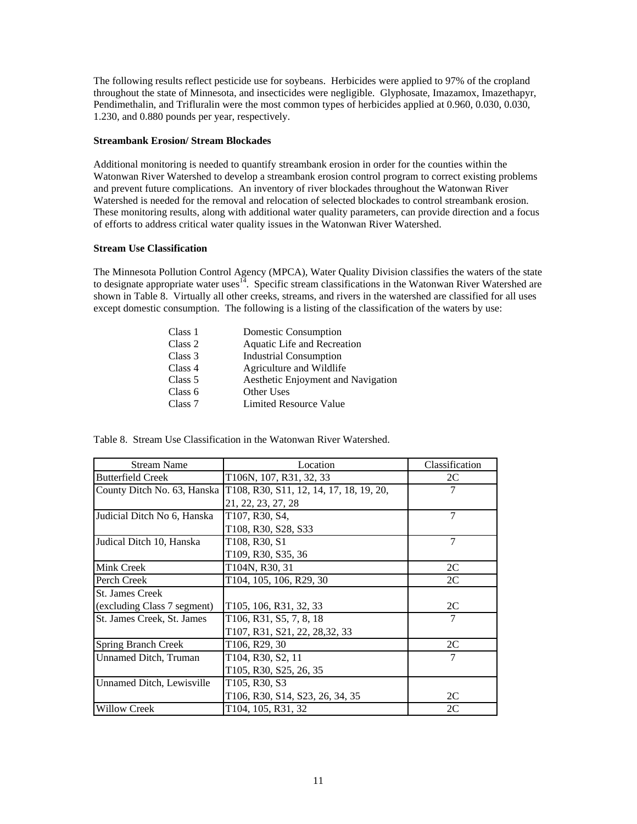The following results reflect pesticide use for soybeans. Herbicides were applied to 97% of the cropland throughout the state of Minnesota, and insecticides were negligible. Glyphosate, Imazamox, Imazethapyr, Pendimethalin, and Trifluralin were the most common types of herbicides applied at 0.960, 0.030, 0.030, 1.230, and 0.880 pounds per year, respectively.

## **Streambank Erosion/ Stream Blockades**

Additional monitoring is needed to quantify streambank erosion in order for the counties within the Watonwan River Watershed to develop a streambank erosion control program to correct existing problems and prevent future complications. An inventory of river blockades throughout the Watonwan River Watershed is needed for the removal and relocation of selected blockades to control streambank erosion. These monitoring results, along with additional water quality parameters, can provide direction and a focus of efforts to address critical water quality issues in the Watonwan River Watershed.

# **Stream Use Classification**

The Minnesota Pollution Control Agency (MPCA), Water Quality Division classifies the waters of the state to designate appropriate water uses<sup>14</sup>. Specific stream classifications in the Watonwan River Watershed are shown in Table 8. Virtually all other creeks, streams, and rivers in the watershed are classified for all uses except domestic consumption. The following is a listing of the classification of the waters by use:

| Class 1 | Domestic Consumption               |
|---------|------------------------------------|
| Class 2 | Aquatic Life and Recreation        |
| Class 3 | <b>Industrial Consumption</b>      |
| Class 4 | Agriculture and Wildlife           |
| Class 5 | Aesthetic Enjoyment and Navigation |
| Class 6 | Other Uses                         |
| Class 7 | Limited Resource Value             |
|         |                                    |

| <b>Stream Name</b>          | Location                                | Classification |
|-----------------------------|-----------------------------------------|----------------|
| <b>Butterfield Creek</b>    | T106N, 107, R31, 32, 33                 | 2C             |
| County Ditch No. 63, Hanska | T108, R30, S11, 12, 14, 17, 18, 19, 20, | 7              |
|                             | 21, 22, 23, 27, 28                      |                |
| Judicial Ditch No 6, Hanska | T107, R30, S4,                          | 7              |
|                             | T108, R30, S28, S33                     |                |
| Judical Ditch 10, Hanska    | T108, R30, S1                           | 7              |
|                             | T109, R30, S35, 36                      |                |
| Mink Creek                  | T104N, R30, 31                          | 2C             |
| Perch Creek                 | T104, 105, 106, R29, 30                 | 2C             |
| <b>St. James Creek</b>      |                                         |                |
| (excluding Class 7 segment) | T105, 106, R31, 32, 33                  | 2C             |
| St. James Creek, St. James  | T106, R31, S5, 7, 8, 18                 | 7              |
|                             | T107, R31, S21, 22, 28,32, 33           |                |
| <b>Spring Branch Creek</b>  | T106, R29, 30                           | 2C             |
| Unnamed Ditch, Truman       | T104, R30, S2, 11                       | 7              |
|                             | T105, R30, S25, 26, 35                  |                |
| Unnamed Ditch, Lewisville   | T105, R30, S3                           |                |
|                             | T106, R30, S14, S23, 26, 34, 35         | 2C             |
| <b>Willow Creek</b>         | T104, 105, R31, 32                      | 2C             |

Table 8. Stream Use Classification in the Watonwan River Watershed.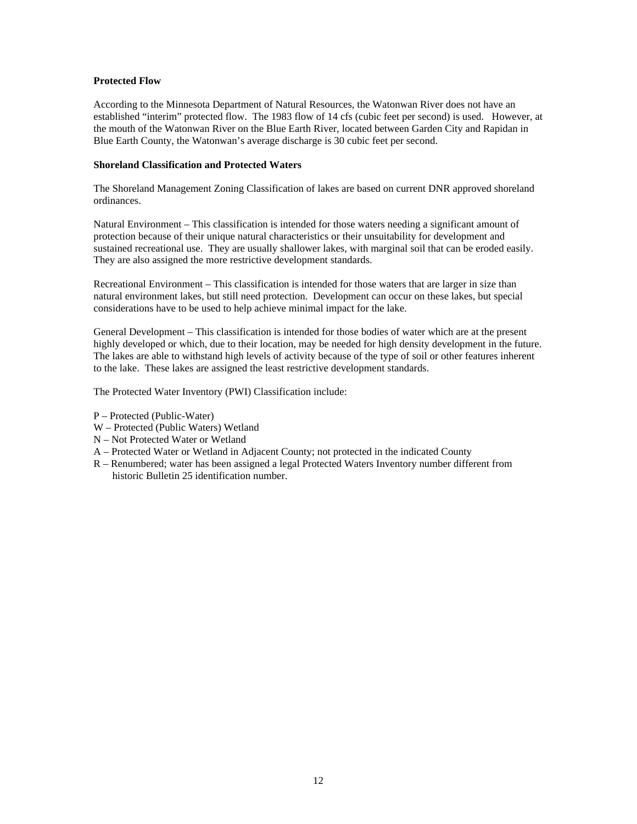## **Protected Flow**

According to the Minnesota Department of Natural Resources, the Watonwan River does not have an established "interim" protected flow. The 1983 flow of 14 cfs (cubic feet per second) is used. However, at the mouth of the Watonwan River on the Blue Earth River, located between Garden City and Rapidan in Blue Earth County, the Watonwan's average discharge is 30 cubic feet per second.

## **Shoreland Classification and Protected Waters**

The Shoreland Management Zoning Classification of lakes are based on current DNR approved shoreland ordinances.

Natural Environment – This classification is intended for those waters needing a significant amount of protection because of their unique natural characteristics or their unsuitability for development and sustained recreational use. They are usually shallower lakes, with marginal soil that can be eroded easily. They are also assigned the more restrictive development standards.

Recreational Environment – This classification is intended for those waters that are larger in size than natural environment lakes, but still need protection. Development can occur on these lakes, but special considerations have to be used to help achieve minimal impact for the lake.

General Development – This classification is intended for those bodies of water which are at the present highly developed or which, due to their location, may be needed for high density development in the future. The lakes are able to withstand high levels of activity because of the type of soil or other features inherent to the lake. These lakes are assigned the least restrictive development standards.

The Protected Water Inventory (PWI) Classification include:

- P Protected (Public-Water)
- W Protected (Public Waters) Wetland
- N Not Protected Water or Wetland
- A Protected Water or Wetland in Adjacent County; not protected in the indicated County
- R Renumbered; water has been assigned a legal Protected Waters Inventory number different from historic Bulletin 25 identification number.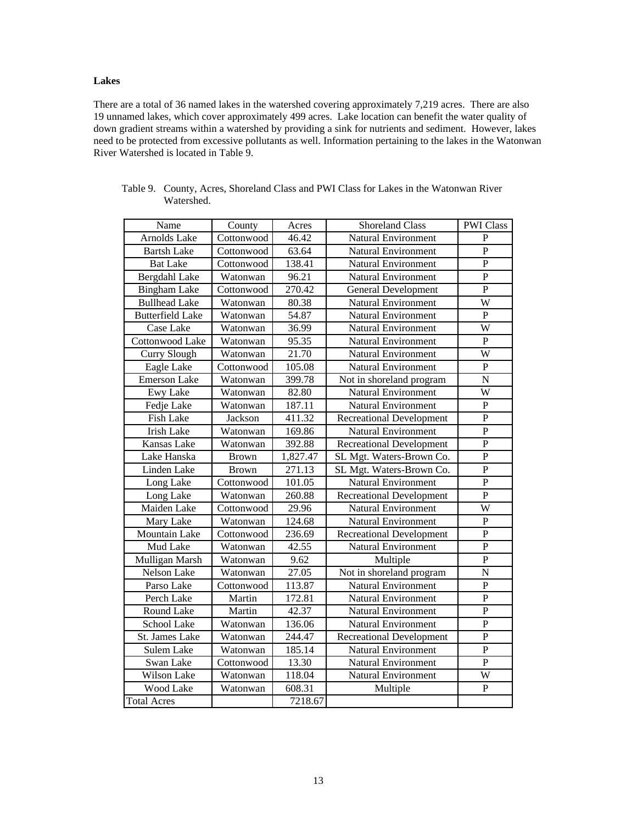# **Lakes**

There are a total of 36 named lakes in the watershed covering approximately 7,219 acres. There are also 19 unnamed lakes, which cover approximately 499 acres. Lake location can benefit the water quality of down gradient streams within a watershed by providing a sink for nutrients and sediment. However, lakes need to be protected from excessive pollutants as well. Information pertaining to the lakes in the Watonwan River Watershed is located in Table 9.

| Name                    | County       | Acres    | <b>Shoreland Class</b>          | <b>PWI Class</b>      |
|-------------------------|--------------|----------|---------------------------------|-----------------------|
| Arnolds Lake            | Cottonwood   | 46.42    | <b>Natural Environment</b>      | ${\bf P}$             |
| <b>Bartsh Lake</b>      | Cottonwood   | 63.64    | <b>Natural Environment</b>      | $\overline{P}$        |
| <b>Bat Lake</b>         | Cottonwood   | 138.41   | <b>Natural Environment</b>      | ${\bf P}$             |
| Bergdahl Lake           | Watonwan     | 96.21    | <b>Natural Environment</b>      | $\mathbf P$           |
| <b>Bingham Lake</b>     | Cottonwood   | 270.42   | <b>General Development</b>      | $\overline{P}$        |
| <b>Bullhead Lake</b>    | Watonwan     | 80.38    | <b>Natural Environment</b>      | $\overline{\text{W}}$ |
| <b>Butterfield Lake</b> | Watonwan     | 54.87    | <b>Natural Environment</b>      | $\overline{P}$        |
| Case Lake               | Watonwan     | 36.99    | <b>Natural Environment</b>      | W                     |
| Cottonwood Lake         | Watonwan     | 95.35    | <b>Natural Environment</b>      | ${\bf P}$             |
| <b>Curry Slough</b>     | Watonwan     | 21.70    | <b>Natural Environment</b>      | $\overline{\text{W}}$ |
| Eagle Lake              | Cottonwood   | 105.08   | <b>Natural Environment</b>      | $\overline{P}$        |
| <b>Emerson Lake</b>     | Watonwan     | 399.78   | Not in shoreland program        | N                     |
| <b>Ewy Lake</b>         | Watonwan     | 82.80    | <b>Natural Environment</b>      | W                     |
| Fedje Lake              | Watonwan     | 187.11   | <b>Natural Environment</b>      | ${\bf P}$             |
| <b>Fish Lake</b>        | Jackson      | 411.32   | <b>Recreational Development</b> | $\mathbf P$           |
| <b>Irish Lake</b>       | Watonwan     | 169.86   | Natural Environment             | ${\bf P}$             |
| Kansas Lake             | Watonwan     | 392.88   | <b>Recreational Development</b> | $\overline{P}$        |
| Lake Hanska             | <b>Brown</b> | 1,827.47 | SL Mgt. Waters-Brown Co.        | $\mathbf P$           |
| Linden Lake             | <b>Brown</b> | 271.13   | SL Mgt. Waters-Brown Co.        | $\mathbf P$           |
| Long Lake               | Cottonwood   | 101.05   | <b>Natural Environment</b>      | $\overline{P}$        |
| Long Lake               | Watonwan     | 260.88   | <b>Recreational Development</b> | $\mathbf{P}$          |
| Maiden Lake             | Cottonwood   | 29.96    | <b>Natural Environment</b>      | W                     |
| Mary Lake               | Watonwan     | 124.68   | <b>Natural Environment</b>      | $\mathbf P$           |
| Mountain Lake           | Cottonwood   | 236.69   | <b>Recreational Development</b> | $\mathbf{P}$          |
| Mud Lake                | Watonwan     | 42.55    | <b>Natural Environment</b>      | $\mathbf{P}$          |
| Mulligan Marsh          | Watonwan     | 9.62     | Multiple                        | $\mathbf{P}$          |
| <b>Nelson Lake</b>      | Watonwan     | 27.05    | Not in shoreland program        | N                     |
| Parso Lake              | Cottonwood   | 113.87   | <b>Natural Environment</b>      | ${\bf P}$             |
| Perch Lake              | Martin       | 172.81   | <b>Natural Environment</b>      | $\overline{P}$        |
| Round Lake              | Martin       | 42.37    | <b>Natural Environment</b>      | $\overline{P}$        |
| School Lake             | Watonwan     | 136.06   | <b>Natural Environment</b>      | ${\bf P}$             |
| St. James Lake          | Watonwan     | 244.47   | <b>Recreational Development</b> | ${\bf P}$             |
| Sulem Lake              | Watonwan     | 185.14   | <b>Natural Environment</b>      | ${\bf P}$             |
| Swan Lake               | Cottonwood   | 13.30    | Natural Environment             | $\overline{P}$        |
| Wilson Lake             | Watonwan     | 118.04   | Natural Environment             | W                     |
| Wood Lake               | Watonwan     | 608.31   | Multiple                        | $\overline{P}$        |
| <b>Total Acres</b>      |              | 7218.67  |                                 |                       |

Table 9. County, Acres, Shoreland Class and PWI Class for Lakes in the Watonwan River Watershed.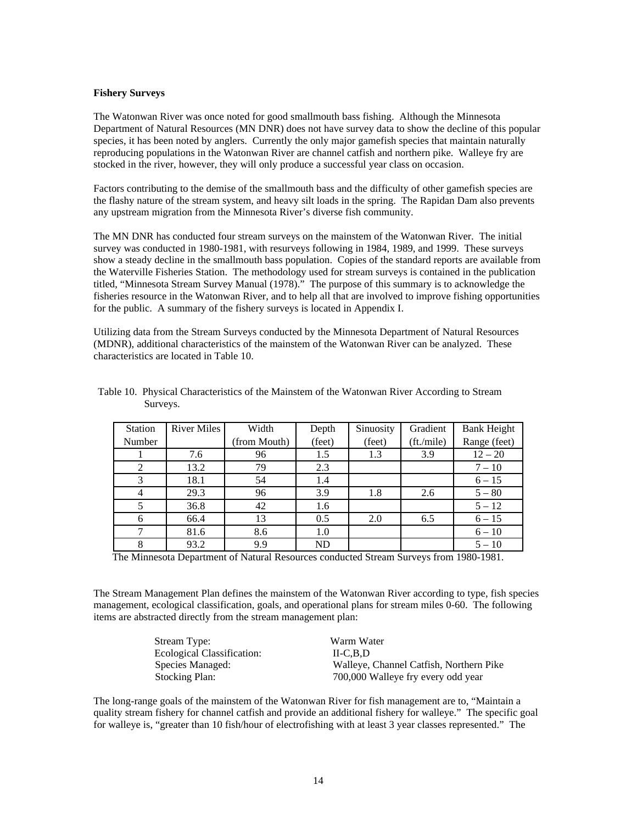#### **Fishery Surveys**

The Watonwan River was once noted for good smallmouth bass fishing. Although the Minnesota Department of Natural Resources (MN DNR) does not have survey data to show the decline of this popular species, it has been noted by anglers. Currently the only major game fish species that maintain naturally reproducing populations in the Watonwan River are channel catfish and northern pike. Walleye fry are stocked in the river, however, they will only produce a successful year class on occasion.

Factors contributing to the demise of the smallmouth bass and the difficulty of other gamefish species are the flashy nature of the stream system, and heavy silt loads in the spring. The Rapidan Dam also prevents any upstream migration from the Minnesota River's diverse fish community.

The MN DNR has conducted four stream surveys on the mainstem of the Watonwan River. The initial survey was conducted in 1980-1981, with resurveys following in 1984, 1989, and 1999. These surveys show a steady decline in the smallmouth bass population. Copies of the standard reports are available from the Waterville Fisheries Station. The methodology used for stream surveys is contained in the publication titled, "Minnesota Stream Survey Manual (1978)." The purpose of this summary is to acknowledge the fisheries resource in the Watonwan River, and to help all that are involved to improve fishing opportunities for the public. A summary of the fishery surveys is located in Appendix I.

Utilizing data from the Stream Surveys conducted by the Minnesota Department of Natural Resources (MDNR), additional characteristics of the mainstem of the Watonwan River can be analyzed. These characteristics are located in Table 10.

| <b>Station</b> | <b>River Miles</b> | Width        | Depth     | Sinuosity | Gradient   | <b>Bank Height</b> |
|----------------|--------------------|--------------|-----------|-----------|------------|--------------------|
| Number         |                    | (from Mouth) | (feet)    | (feet)    | (ft./mile) | Range (feet)       |
|                | 7.6                | 96           | 1.5       | 1.3       | 3.9        | $12 - 20$          |
| 2              | 13.2               | 79           | 2.3       |           |            | $7 - 10$           |
| 3              | 18.1               | 54           | 1.4       |           |            | $6 - 15$           |
|                | 29.3               | 96           | 3.9       | 1.8       | 2.6        | $5 - 80$           |
|                | 36.8               | 42           | 1.6       |           |            | $5 - 12$           |
| 6              | 66.4               | 13           | 0.5       | 2.0       | 6.5        | $6 - 15$           |
|                | 81.6               | 8.6          | 1.0       |           |            | $6 - 10$           |
|                | 93.2               | 9.9          | <b>ND</b> |           |            | $5 - 10$           |

Table 10. Physical Characteristics of the Mainstem of the Watonwan River According to Stream Surveys.

The Minnesota Department of Natural Resources conducted Stream Surveys from 1980-1981.

The Stream Management Plan defines the mainstem of the Watonwan River according to type, fish species management, ecological classification, goals, and operational plans for stream miles 0-60. The following items are abstracted directly from the stream management plan:

| Stream Type:               | Warm Water                              |
|----------------------------|-----------------------------------------|
| Ecological Classification: | ILC.B.D                                 |
| Species Managed:           | Walleye, Channel Catfish, Northern Pike |
| <b>Stocking Plan:</b>      | 700,000 Walleye fry every odd year      |

The long-range goals of the mainstem of the Watonwan River for fish management are to, "Maintain a quality stream fishery for channel catfish and provide an additional fishery for walleye." The specific goal for walleye is, "greater than 10 fish/hour of electrofishing with at least 3 year classes represented." The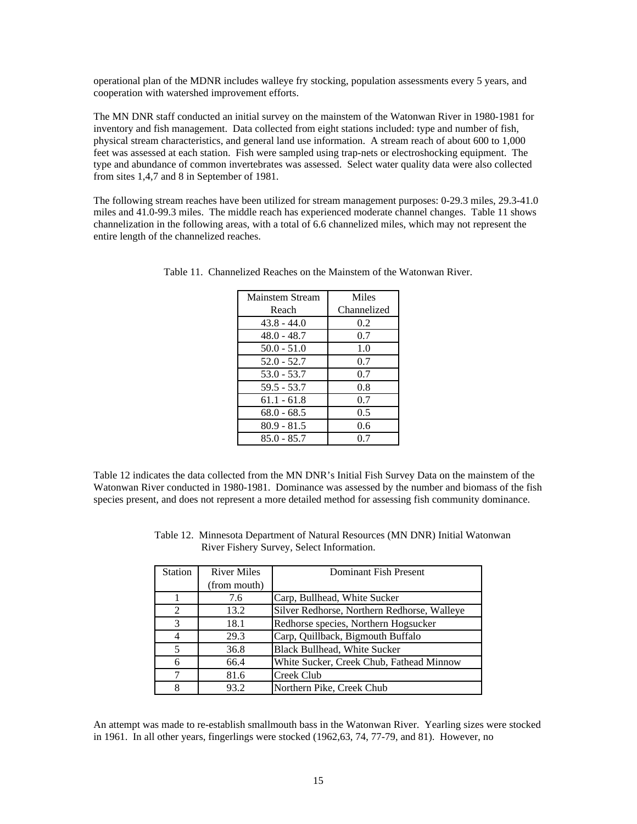operational plan of the MDNR includes walleye fry stocking, population assessments every 5 years, and cooperation with watershed improvement efforts.

The MN DNR staff conducted an initial survey on the mainstem of the Watonwan River in 1980-1981 for inventory and fish management. Data collected from eight stations included: type and number of fish, physical stream characteristics, and general land use information. A stream reach of about 600 to 1,000 feet was assessed at each station. Fish were sampled using trap-nets or electroshocking equipment. The type and abundance of common invertebrates was assessed. Select water quality data were also collected from sites 1,4,7 and 8 in September of 1981.

The following stream reaches have been utilized for stream management purposes: 0-29.3 miles, 29.3-41.0 miles and 41.0-99.3 miles. The middle reach has experienced moderate channel changes. Table 11 shows channelization in the following areas, with a total of 6.6 channelized miles, which may not represent the entire length of the channelized reaches.

| Mainstem Stream | Miles       |
|-----------------|-------------|
| Reach           | Channelized |
| $43.8 - 44.0$   | 0.2         |
| $48.0 - 48.7$   | 0.7         |
| $50.0 - 51.0$   | 1.0         |
| $52.0 - 52.7$   | 0.7         |
| $53.0 - 53.7$   | 0.7         |
| $59.5 - 53.7$   | 0.8         |
| $61.1 - 61.8$   | 0.7         |
| $68.0 - 68.5$   | 0.5         |
| $80.9 - 81.5$   | 0.6         |
| $85.0 - 85.7$   | 0.7         |

Table 11. Channelized Reaches on the Mainstem of the Watonwan River.

Table 12 indicates the data collected from the MN DNR's Initial Fish Survey Data on the mainstem of the Watonwan River conducted in 1980-1981. Dominance was assessed by the number and biomass of the fish species present, and does not represent a more detailed method for assessing fish community dominance.

| <b>Station</b>              | <b>River Miles</b> | Dominant Fish Present                       |
|-----------------------------|--------------------|---------------------------------------------|
|                             | (from mouth)       |                                             |
|                             | 7.6                | Carp, Bullhead, White Sucker                |
| $\mathcal{D}_{\mathcal{L}}$ | 13.2               | Silver Redhorse, Northern Redhorse, Walleye |
| 3                           | 18.1               | Redhorse species, Northern Hogsucker        |
|                             | 29.3               | Carp, Quillback, Bigmouth Buffalo           |
| 5                           | 36.8               | <b>Black Bullhead, White Sucker</b>         |
|                             | 66.4               | White Sucker, Creek Chub, Fathead Minnow    |
|                             | 81.6               | Creek Club                                  |
|                             | 93.2               | Northern Pike, Creek Chub                   |

Table 12. Minnesota Department of Natural Resources (MN DNR) Initial Watonwan River Fishery Survey, Select Information.

An attempt was made to re-establish smallmouth bass in the Watonwan River. Yearling sizes were stocked in 1961. In all other years, fingerlings were stocked (1962,63, 74, 77-79, and 81). However, no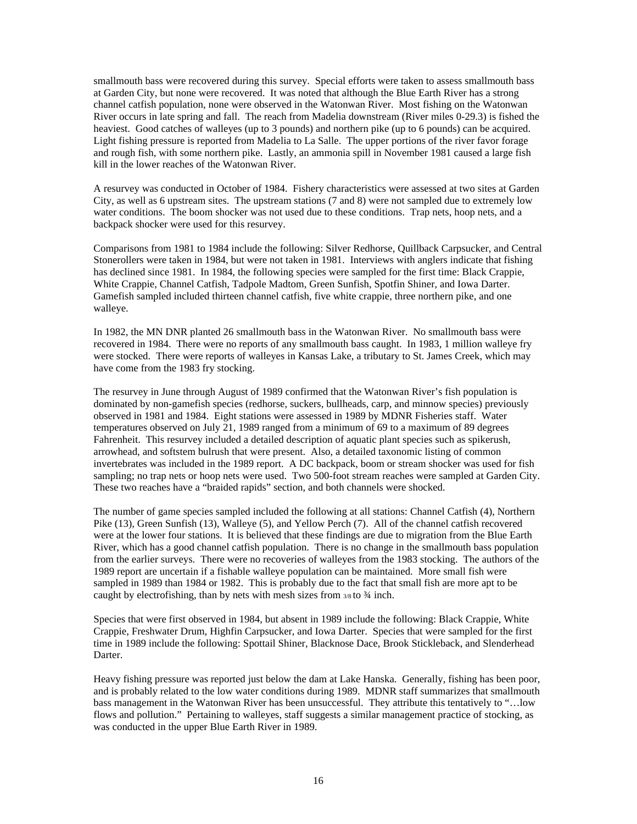smallmouth bass were recovered during this survey. Special efforts were taken to assess smallmouth bass at Garden City, but none were recovered. It was noted that although the Blue Earth River has a strong channel catfish population, none were observed in the Watonwan River. Most fishing on the Watonwan River occurs in late spring and fall. The reach from Madelia downstream (River miles 0-29.3) is fished the heaviest. Good catches of walleyes (up to 3 pounds) and northern pike (up to 6 pounds) can be acquired. Light fishing pressure is reported from Madelia to La Salle. The upper portions of the river favor forage and rough fish, with some northern pike. Lastly, an ammonia spill in November 1981 caused a large fish kill in the lower reaches of the Watonwan River.

A resurvey was conducted in October of 1984. Fishery characteristics were assessed at two sites at Garden City, as well as 6 upstream sites. The upstream stations (7 and 8) were not sampled due to extremely low water conditions. The boom shocker was not used due to these conditions. Trap nets, hoop nets, and a backpack shocker were used for this resurvey.

Comparisons from 1981 to 1984 include the following: Silver Redhorse, Quillback Carpsucker, and Central Stonerollers were taken in 1984, but were not taken in 1981. Interviews with anglers indicate that fishing has declined since 1981. In 1984, the following species were sampled for the first time: Black Crappie, White Crappie, Channel Catfish, Tadpole Madtom, Green Sunfish, Spotfin Shiner, and Iowa Darter. Gamefish sampled included thirteen channel catfish, five white crappie, three northern pike, and one walleye.

In 1982, the MN DNR planted 26 smallmouth bass in the Watonwan River. No smallmouth bass were recovered in 1984. There were no reports of any smallmouth bass caught. In 1983, 1 million walleye fry were stocked. There were reports of walleyes in Kansas Lake, a tributary to St. James Creek, which may have come from the 1983 fry stocking.

The resurvey in June through August of 1989 confirmed that the Watonwan River's fish population is dominated by non-gamefish species (redhorse, suckers, bullheads, carp, and minnow species) previously observed in 1981 and 1984. Eight stations were assessed in 1989 by MDNR Fisheries staff. Water temperatures observed on July 21, 1989 ranged from a minimum of 69 to a maximum of 89 degrees Fahrenheit. This resurvey included a detailed description of aquatic plant species such as spikerush, arrowhead, and softstem bulrush that were present. Also, a detailed taxonomic listing of common invertebrates was included in the 1989 report. A DC backpack, boom or stream shocker was used for fish sampling; no trap nets or hoop nets were used. Two 500-foot stream reaches were sampled at Garden City. These two reaches have a "braided rapids" section, and both channels were shocked.

The number of game species sampled included the following at all stations: Channel Catfish (4), Northern Pike (13), Green Sunfish (13), Walleye (5), and Yellow Perch (7). All of the channel catfish recovered were at the lower four stations. It is believed that these findings are due to migration from the Blue Earth River, which has a good channel catfish population. There is no change in the smallmouth bass population from the earlier surveys. There were no recoveries of walleyes from the 1983 stocking. The authors of the 1989 report are uncertain if a fishable walleye population can be maintained. More small fish were sampled in 1989 than 1984 or 1982. This is probably due to the fact that small fish are more apt to be caught by electrofishing, than by nets with mesh sizes from  $3/8$  to  $\frac{3}{4}$  inch.

Species that were first observed in 1984, but absent in 1989 include the following: Black Crappie, White Crappie, Freshwater Drum, Highfin Carpsucker, and Iowa Darter. Species that were sampled for the first time in 1989 include the following: Spottail Shiner, Blacknose Dace, Brook Stickleback, and Slenderhead Darter.

Heavy fishing pressure was reported just below the dam at Lake Hanska. Generally, fishing has been poor, and is probably related to the low water conditions during 1989. MDNR staff summarizes that smallmouth bass management in the Watonwan River has been unsuccessful. They attribute this tentatively to "…low flows and pollution." Pertaining to walleyes, staff suggests a similar management practice of stocking, as was conducted in the upper Blue Earth River in 1989.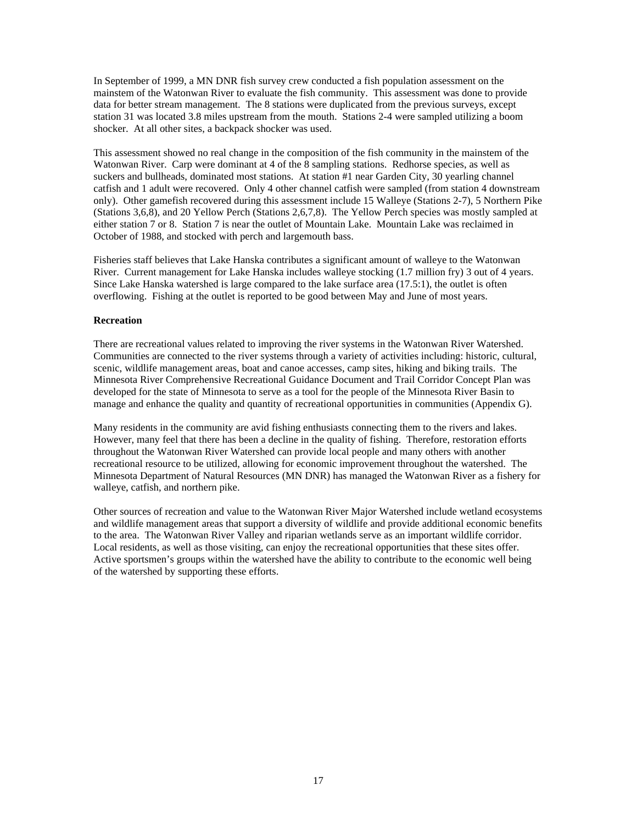In September of 1999, a MN DNR fish survey crew conducted a fish population assessment on the mainstem of the Watonwan River to evaluate the fish community. This assessment was done to provide data for better stream management. The 8 stations were duplicated from the previous surveys, except station 31 was located 3.8 miles upstream from the mouth. Stations 2-4 were sampled utilizing a boom shocker. At all other sites, a backpack shocker was used.

This assessment showed no real change in the composition of the fish community in the mainstem of the Watonwan River. Carp were dominant at 4 of the 8 sampling stations. Redhorse species, as well as suckers and bullheads, dominated most stations. At station #1 near Garden City, 30 yearling channel catfish and 1 adult were recovered. Only 4 other channel catfish were sampled (from station 4 downstream only). Other gamefish recovered during this assessment include 15 Walleye (Stations 2-7), 5 Northern Pike (Stations 3,6,8), and 20 Yellow Perch (Stations 2,6,7,8). The Yellow Perch species was mostly sampled at either station 7 or 8. Station 7 is near the outlet of Mountain Lake. Mountain Lake was reclaimed in October of 1988, and stocked with perch and largemouth bass.

Fisheries staff believes that Lake Hanska contributes a significant amount of walleye to the Watonwan River. Current management for Lake Hanska includes walleye stocking (1.7 million fry) 3 out of 4 years. Since Lake Hanska watershed is large compared to the lake surface area (17.5:1), the outlet is often overflowing. Fishing at the outlet is reported to be good between May and June of most years.

# **Recreation**

There are recreational values related to improving the river systems in the Watonwan River Watershed. Communities are connected to the river systems through a variety of activities including: historic, cultural, scenic, wildlife management areas, boat and canoe accesses, camp sites, hiking and biking trails. The Minnesota River Comprehensive Recreational Guidance Document and Trail Corridor Concept Plan was developed for the state of Minnesota to serve as a tool for the people of the Minnesota River Basin to manage and enhance the quality and quantity of recreational opportunities in communities (Appendix G).

Many residents in the community are avid fishing enthusiasts connecting them to the rivers and lakes. However, many feel that there has been a decline in the quality of fishing. Therefore, restoration efforts throughout the Watonwan River Watershed can provide local people and many others with another recreational resource to be utilized, allowing for economic improvement throughout the watershed. The Minnesota Department of Natural Resources (MN DNR) has managed the Watonwan River as a fishery for walleye, catfish, and northern pike.

Other sources of recreation and value to the Watonwan River Major Watershed include wetland ecosystems and wildlife management areas that support a diversity of wildlife and provide additional economic benefits to the area. The Watonwan River Valley and riparian wetlands serve as an important wildlife corridor. Local residents, as well as those visiting, can enjoy the recreational opportunities that these sites offer. Active sportsmen's groups within the watershed have the ability to contribute to the economic well being of the watershed by supporting these efforts.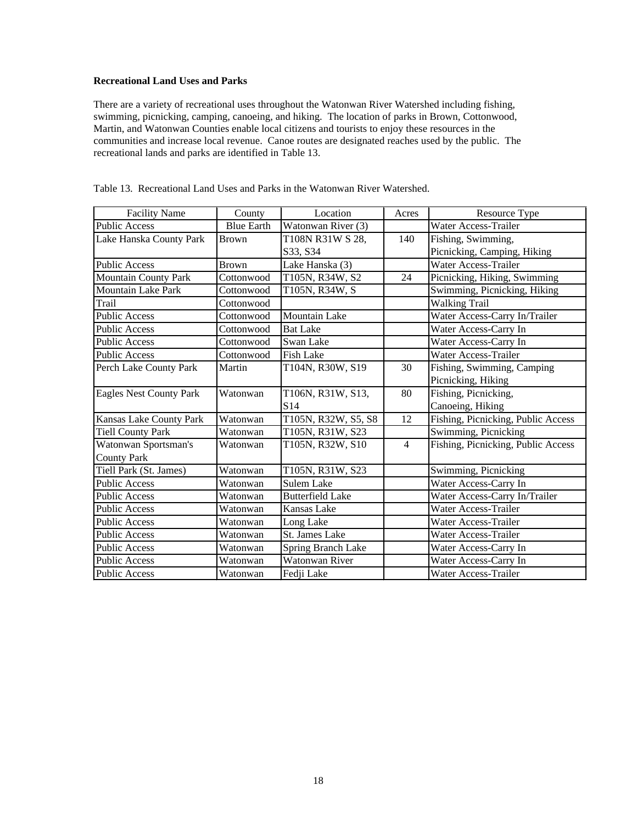# **Recreational Land Uses and Parks**

There are a variety of recreational uses throughout the Watonwan River Watershed including fishing, swimming, picnicking, camping, canoeing, and hiking. The location of parks in Brown, Cottonwood, Martin, and Watonwan Counties enable local citizens and tourists to enjoy these resources in the communities and increase local revenue. Canoe routes are designated reaches used by the public. The recreational lands and parks are identified in Table 13.

| <b>Facility Name</b>           | County            | Location                | Acres          | Resource Type                      |
|--------------------------------|-------------------|-------------------------|----------------|------------------------------------|
| <b>Public Access</b>           | <b>Blue Earth</b> | Watonwan River (3)      |                | Water Access-Trailer               |
| Lake Hanska County Park        | <b>Brown</b>      | T108N R31W S 28,        | 140            | Fishing, Swimming,                 |
|                                |                   | S33, S34                |                | Picnicking, Camping, Hiking        |
| <b>Public Access</b>           | <b>Brown</b>      | Lake Hanska (3)         |                | Water Access-Trailer               |
| <b>Mountain County Park</b>    | Cottonwood        | T105N, R34W, S2         | 24             | Picnicking, Hiking, Swimming       |
| <b>Mountain Lake Park</b>      | Cottonwood        | T105N, R34W, S          |                | Swimming, Picnicking, Hiking       |
| <b>Trail</b>                   | Cottonwood        |                         |                | <b>Walking Trail</b>               |
| <b>Public Access</b>           | Cottonwood        | Mountain Lake           |                | Water Access-Carry In/Trailer      |
| <b>Public Access</b>           | Cottonwood        | <b>Bat Lake</b>         |                | Water Access-Carry In              |
| <b>Public Access</b>           | Cottonwood        | Swan Lake               |                | Water Access-Carry In              |
| <b>Public Access</b>           | Cottonwood        | <b>Fish Lake</b>        |                | <b>Water Access-Trailer</b>        |
| Perch Lake County Park         | Martin            | T104N, R30W, S19        | 30             | Fishing, Swimming, Camping         |
|                                |                   |                         |                | Picnicking, Hiking                 |
| <b>Eagles Nest County Park</b> | Watonwan          | T106N, R31W, S13,       | 80             | Fishing, Picnicking,               |
|                                |                   | S14                     |                | Canoeing, Hiking                   |
| Kansas Lake County Park        | Watonwan          | T105N, R32W, S5, S8     | 12             | Fishing, Picnicking, Public Access |
| <b>Tiell County Park</b>       | Watonwan          | T105N, R31W, S23        |                | Swimming, Picnicking               |
| Watonwan Sportsman's           | Watonwan          | T105N, R32W, S10        | $\overline{4}$ | Fishing, Picnicking, Public Access |
| <b>County Park</b>             |                   |                         |                |                                    |
| Tiell Park (St. James)         | Watonwan          | T105N, R31W, S23        |                | Swimming, Picnicking               |
| <b>Public Access</b>           | Watonwan          | <b>Sulem Lake</b>       |                | Water Access-Carry In              |
| <b>Public Access</b>           | Watonwan          | <b>Butterfield Lake</b> |                | Water Access-Carry In/Trailer      |
| <b>Public Access</b>           | Watonwan          | Kansas Lake             |                | Water Access-Trailer               |
| <b>Public Access</b>           | Watonwan          | Long Lake               |                | Water Access-Trailer               |
| <b>Public Access</b>           | Watonwan          | St. James Lake          |                | Water Access-Trailer               |
| <b>Public Access</b>           | Watonwan          | Spring Branch Lake      |                | Water Access-Carry In              |
| <b>Public Access</b>           | Watonwan          | <b>Watonwan River</b>   |                | Water Access-Carry In              |
| Public Access                  | Watonwan          | Fedji Lake              |                | Water Access-Trailer               |

Table 13. Recreational Land Uses and Parks in the Watonwan River Watershed.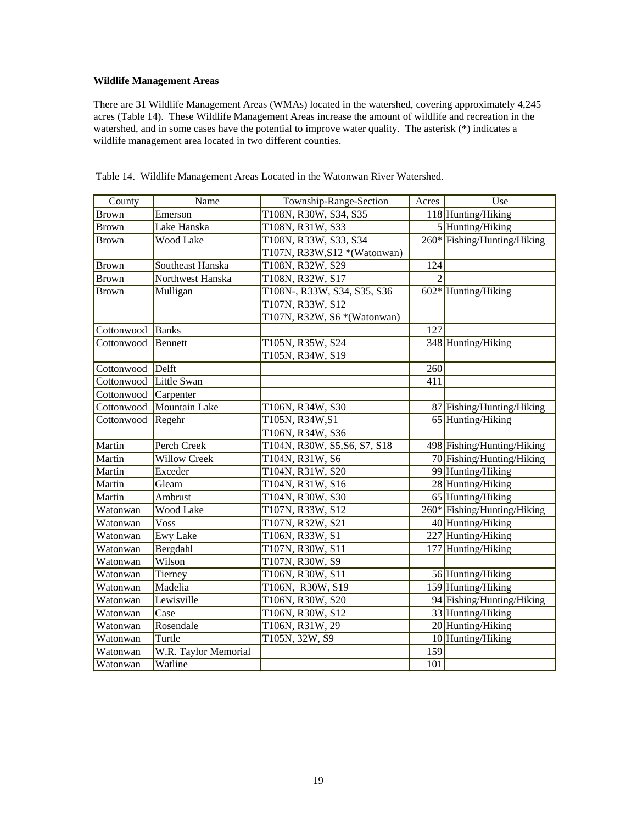# **Wildlife Management Areas**

There are 31 Wildlife Management Areas (WMAs) located in the watershed, covering approximately 4,245 acres (Table 14). These Wildlife Management Areas increase the amount of wildlife and recreation in the watershed, and in some cases have the potential to improve water quality. The asterisk (\*) indicates a wildlife management area located in two different counties.

| County       | Name                 | Township-Range-Section        | Acres                       | Use                         |
|--------------|----------------------|-------------------------------|-----------------------------|-----------------------------|
| <b>Brown</b> | Emerson              | T108N, R30W, S34, S35         |                             | 118 Hunting/Hiking          |
| <b>Brown</b> | Lake Hanska          | T108N, R31W, S33              |                             | 5 Hunting/Hiking            |
| <b>Brown</b> | <b>Wood Lake</b>     | T108N, R33W, S33, S34         |                             | 260* Fishing/Hunting/Hiking |
|              |                      | T107N, R33W, S12 * (Watonwan) |                             |                             |
| <b>Brown</b> | Southeast Hanska     | T108N, R32W, S29              | 124                         |                             |
| <b>Brown</b> | Northwest Hanska     | T108N, R32W, S17              | $\mathcal{D}_{\mathcal{L}}$ |                             |
| <b>Brown</b> | Mulligan             | T108N-, R33W, S34, S35, S36   |                             | $602*$ Hunting/Hiking       |
|              |                      | T107N, R33W, S12              |                             |                             |
|              |                      | T107N, R32W, S6 *(Watonwan)   |                             |                             |
| Cottonwood   | Banks                |                               | 127                         |                             |
| Cottonwood   | Bennett              | T105N, R35W, S24              |                             | 348 Hunting/Hiking          |
|              |                      | T105N, R34W, S19              |                             |                             |
| Cottonwood   | Delft                |                               | 260                         |                             |
| Cottonwood   | Little Swan          |                               | 411                         |                             |
| Cottonwood   | Carpenter            |                               |                             |                             |
| Cottonwood   | <b>Mountain Lake</b> | T106N, R34W, S30              |                             | 87 Fishing/Hunting/Hiking   |
| Cottonwood   | Regehr               | T105N, R34W, S1               |                             | 65 Hunting/Hiking           |
|              |                      | T106N, R34W, S36              |                             |                             |
| Martin       | Perch Creek          | T104N, R30W, S5, S6, S7, S18  |                             | 498 Fishing/Hunting/Hiking  |
| Martin       | <b>Willow Creek</b>  | T104N, R31W, S6               |                             | 70 Fishing/Hunting/Hiking   |
| Martin       | Exceder              | T104N, R31W, S20              |                             | 99 Hunting/Hiking           |
| Martin       | Gleam                | T104N, R31W, S16              |                             | 28 Hunting/Hiking           |
| Martin       | Ambrust              | T104N, R30W, S30              |                             | 65 Hunting/Hiking           |
| Watonwan     | Wood Lake            | T107N, R33W, S12              |                             | 260* Fishing/Hunting/Hiking |
| Watonwan     | <b>Voss</b>          | T107N, R32W, S21              |                             | 40 Hunting/Hiking           |
| Watonwan     | <b>Ewy Lake</b>      | T106N, R33W, S1               |                             | 227 Hunting/Hiking          |
| Watonwan     | Bergdahl             | T107N, R30W, S11              |                             | 177 Hunting/Hiking          |
| Watonwan     | Wilson               | T107N, R30W, S9               |                             |                             |
| Watonwan     | Tierney              | T106N, R30W, S11              |                             | 56 Hunting/Hiking           |
| Watonwan     | Madelia              | T106N, R30W, S19              |                             | 159 Hunting/Hiking          |
| Watonwan     | Lewisville           | T106N, R30W, S20              |                             | 94 Fishing/Hunting/Hiking   |
| Watonwan     | Case                 | T106N, R30W, S12              |                             | 33 Hunting/Hiking           |
| Watonwan     | Rosendale            | T106N, R31W, 29               |                             | 20 Hunting/Hiking           |
| Watonwan     | Turtle               | T105N, 32W, S9                |                             | 10 Hunting/Hiking           |
| Watonwan     | W.R. Taylor Memorial |                               | 159                         |                             |
| Watonwan     | Watline              |                               | 101                         |                             |

Table 14. Wildlife Management Areas Located in the Watonwan River Watershed.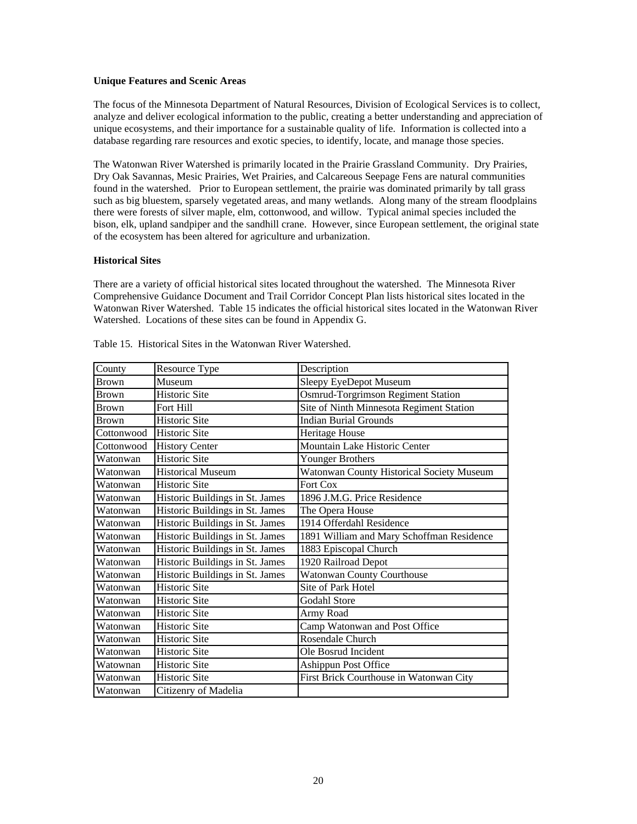#### **Unique Features and Scenic Areas**

The focus of the Minnesota Department of Natural Resources, Division of Ecological Services is to collect, analyze and deliver ecological information to the public, creating a better understanding and appreciation of unique ecosystems, and their importance for a sustainable quality of life. Information is collected into a database regarding rare resources and exotic species, to identify, locate, and manage those species.

The Watonwan River Watershed is primarily located in the Prairie Grassland Community. Dry Prairies, Dry Oak Savannas, Mesic Prairies, Wet Prairies, and Calcareous Seepage Fens are natural communities found in the watershed. Prior to European settlement, the prairie was dominated primarily by tall grass such as big bluestem, sparsely vegetated areas, and many wetlands. Along many of the stream floodplains there were forests of silver maple, elm, cottonwood, and willow. Typical animal species included the bison, elk, upland sandpiper and the sandhill crane. However, since European settlement, the original state of the ecosystem has been altered for agriculture and urbanization.

## **Historical Sites**

There are a variety of official historical sites located throughout the watershed. The Minnesota River Comprehensive Guidance Document and Trail Corridor Concept Plan lists historical sites located in the Watonwan River Watershed. Table 15 indicates the official historical sites located in the Watonwan River Watershed. Locations of these sites can be found in Appendix G.

| County       | Resource Type                   | Description                               |
|--------------|---------------------------------|-------------------------------------------|
| <b>Brown</b> | Museum                          | Sleepy EyeDepot Museum                    |
| <b>Brown</b> | <b>Historic Site</b>            | Osmrud-Torgrimson Regiment Station        |
| <b>Brown</b> | Fort Hill                       | Site of Ninth Minnesota Regiment Station  |
| <b>Brown</b> | <b>Historic Site</b>            | <b>Indian Burial Grounds</b>              |
| Cottonwood   | <b>Historic Site</b>            | Heritage House                            |
| Cottonwood   | <b>History Center</b>           | Mountain Lake Historic Center             |
| Watonwan     | <b>Historic Site</b>            | Younger Brothers                          |
| Watonwan     | <b>Historical Museum</b>        | Watonwan County Historical Society Museum |
| Watonwan     | <b>Historic Site</b>            | Fort Cox                                  |
| Watonwan     | Historic Buildings in St. James | 1896 J.M.G. Price Residence               |
| Watonwan     | Historic Buildings in St. James | The Opera House                           |
| Watonwan     | Historic Buildings in St. James | 1914 Offerdahl Residence                  |
| Watonwan     | Historic Buildings in St. James | 1891 William and Mary Schoffman Residence |
| Watonwan     | Historic Buildings in St. James | 1883 Episcopal Church                     |
| Watonwan     | Historic Buildings in St. James | 1920 Railroad Depot                       |
| Watonwan     | Historic Buildings in St. James | <b>Watonwan County Courthouse</b>         |
| Watonwan     | <b>Historic Site</b>            | Site of Park Hotel                        |
| Watonwan     | <b>Historic Site</b>            | <b>Godahl Store</b>                       |
| Watonwan     | <b>Historic Site</b>            | Army Road                                 |
| Watonwan     | <b>Historic Site</b>            | Camp Watonwan and Post Office             |
| Watonwan     | <b>Historic Site</b>            | Rosendale Church                          |
| Watonwan     | <b>Historic Site</b>            | Ole Bosrud Incident                       |
| Watownan     | Historic Site                   | <b>Ashippun Post Office</b>               |
| Watonwan     | <b>Historic Site</b>            | First Brick Courthouse in Watonwan City   |
| Watonwan     | Citizenry of Madelia            |                                           |

Table 15. Historical Sites in the Watonwan River Watershed.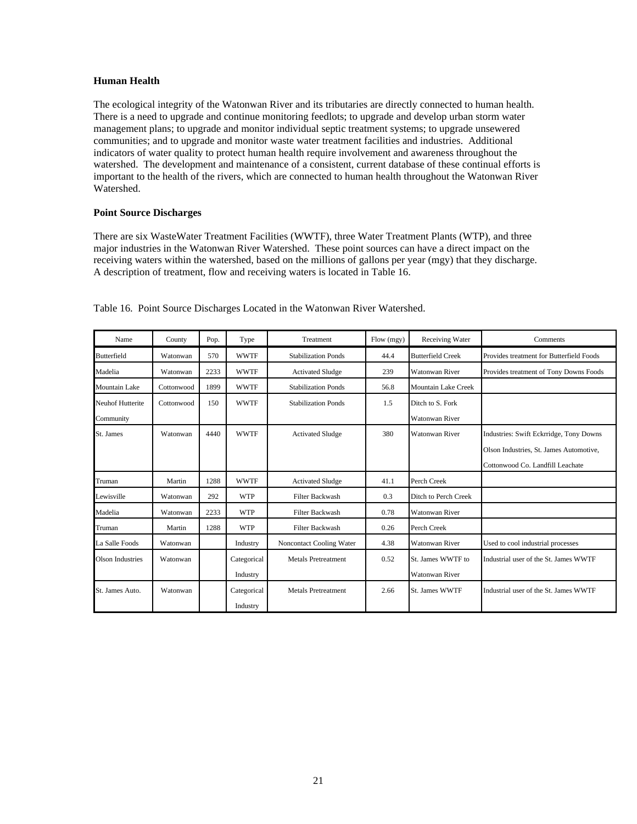## **Human Health**

The ecological integrity of the Watonwan River and its tributaries are directly connected to human health. There is a need to upgrade and continue monitoring feedlots; to upgrade and develop urban storm water management plans; to upgrade and monitor individual septic treatment systems; to upgrade unsewered communities; and to upgrade and monitor waste water treatment facilities and industries. Additional indicators of water quality to protect human health require involvement and awareness throughout the watershed. The development and maintenance of a consistent, current database of these continual efforts is important to the health of the rivers, which are connected to human health throughout the Watonwan River Watershed.

# **Point Source Discharges**

There are six WasteWater Treatment Facilities (WWTF), three Water Treatment Plants (WTP), and three major industries in the Watonwan River Watershed. These point sources can have a direct impact on the receiving waters within the watershed, based on the millions of gallons per year (mgy) that they discharge. A description of treatment, flow and receiving waters is located in Table 16.

| Name             | County     | Pop. | Type        | Treatment                  | Flow (mgy) | Receiving Water            | Comments                                 |
|------------------|------------|------|-------------|----------------------------|------------|----------------------------|------------------------------------------|
| Butterfield      | Watonwan   | 570  | <b>WWTF</b> | <b>Stabilization Ponds</b> | 44.4       | <b>Butterfield Creek</b>   | Provides treatment for Butterfield Foods |
| Madelia          | Watonwan   | 2233 | <b>WWTF</b> | <b>Activated Sludge</b>    | 239        | <b>Watonwan River</b>      | Provides treatment of Tony Downs Foods   |
| Mountain Lake    | Cottonwood | 1899 | <b>WWTF</b> | <b>Stabilization Ponds</b> | 56.8       | <b>Mountain Lake Creek</b> |                                          |
| Neuhof Hutterite | Cottonwood | 150  | <b>WWTF</b> | <b>Stabilization Ponds</b> | 1.5        | Ditch to S. Fork           |                                          |
| Community        |            |      |             |                            |            | <b>Watonwan River</b>      |                                          |
| St. James        | Watonwan   | 4440 | <b>WWTF</b> | <b>Activated Sludge</b>    | 380        | <b>Watonwan River</b>      | Industries: Swift Eckrridge, Tony Downs  |
|                  |            |      |             |                            |            |                            | Olson Industries, St. James Automotive,  |
|                  |            |      |             |                            |            |                            | Cottonwood Co. Landfill Leachate         |
| Truman           | Martin     | 1288 | <b>WWTF</b> | <b>Activated Sludge</b>    | 41.1       | Perch Creek                |                                          |
| Lewisville       | Watonwan   | 292  | <b>WTP</b>  | <b>Filter Backwash</b>     | 0.3        | Ditch to Perch Creek       |                                          |
| Madelia          | Watonwan   | 2233 | <b>WTP</b>  | <b>Filter Backwash</b>     | 0.78       | <b>Watonwan River</b>      |                                          |
| Truman           | Martin     | 1288 | <b>WTP</b>  | <b>Filter Backwash</b>     | 0.26       | Perch Creek                |                                          |
| La Salle Foods   | Watonwan   |      | Industry    | Noncontact Cooling Water   | 4.38       | <b>Watonwan River</b>      | Used to cool industrial processes        |
| Olson Industries | Watonwan   |      | Categorical | <b>Metals Pretreatment</b> | 0.52       | St. James WWTF to          | Industrial user of the St. James WWTF    |
|                  |            |      | Industry    |                            |            | <b>Watonwan River</b>      |                                          |
| St. James Auto.  | Watonwan   |      | Categorical | <b>Metals Pretreatment</b> | 2.66       | St. James WWTF             | Industrial user of the St. James WWTF    |
|                  |            |      | Industry    |                            |            |                            |                                          |

Table 16. Point Source Discharges Located in the Watonwan River Watershed.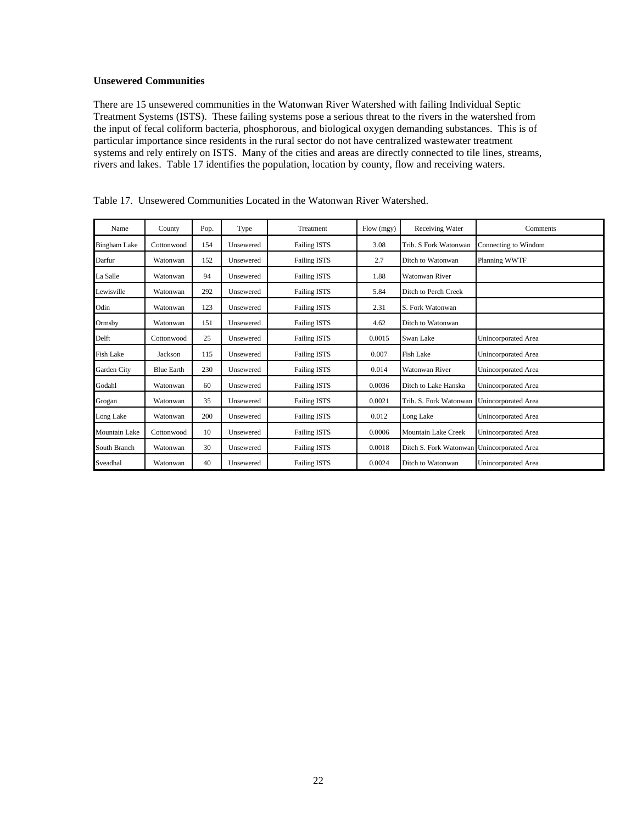# **Unsewered Communities**

There are 15 unsewered communities in the Watonwan River Watershed with failing Individual Septic Treatment Systems (ISTS). These failing systems pose a serious threat to the rivers in the watershed from the input of fecal coliform bacteria, phosphorous, and biological oxygen demanding substances. This is of particular importance since residents in the rural sector do not have centralized wastewater treatment systems and rely entirely on ISTS. Many of the cities and areas are directly connected to tile lines, streams, rivers and lakes. Table 17 identifies the population, location by county, flow and receiving waters.

| Name                 | County            | Pop. | Type      | Treatment           | Flow (mgy) | Receiving Water                            | Comments                   |
|----------------------|-------------------|------|-----------|---------------------|------------|--------------------------------------------|----------------------------|
| <b>Bingham Lake</b>  | Cottonwood        | 154  | Unsewered | <b>Failing ISTS</b> | 3.08       | Trib. S Fork Watonwan                      | Connecting to Windom       |
| Darfur               | Watonwan          | 152  | Unsewered | <b>Failing ISTS</b> | 2.7        | Ditch to Watonwan                          | Planning WWTF              |
| La Salle             | Watonwan          | 94   | Unsewered | <b>Failing ISTS</b> | 1.88       | <b>Watonwan River</b>                      |                            |
| Lewisville           | Watonwan          | 292  | Unsewered | <b>Failing ISTS</b> | 5.84       | Ditch to Perch Creek                       |                            |
| Odin                 | Watonwan          | 123  | Unsewered | <b>Failing ISTS</b> | 2.31       | S. Fork Watonwan                           |                            |
| Ormsby               | Watonwan          | 151  | Unsewered | <b>Failing ISTS</b> | 4.62       | Ditch to Watonwan                          |                            |
| Delft                | Cottonwood        | 25   | Unsewered | <b>Failing ISTS</b> | 0.0015     | Swan Lake                                  | Unincorporated Area        |
| <b>Fish Lake</b>     | Jackson           | 115  | Unsewered | <b>Failing ISTS</b> | 0.007      | Fish Lake                                  | <b>Unincorporated Area</b> |
| Garden City          | <b>Blue Earth</b> | 230  | Unsewered | <b>Failing ISTS</b> | 0.014      | <b>Watonwan River</b>                      | <b>Unincorporated Area</b> |
| Godahl               | Watonwan          | 60   | Unsewered | <b>Failing ISTS</b> | 0.0036     | Ditch to Lake Hanska                       | <b>Unincorporated Area</b> |
| Grogan               | Watonwan          | 35   | Unsewered | <b>Failing ISTS</b> | 0.0021     | Trib. S. Fork Watonwan                     | <b>Unincorporated Area</b> |
| Long Lake            | Watonwan          | 200  | Unsewered | <b>Failing ISTS</b> | 0.012      | Long Lake                                  | <b>Unincorporated Area</b> |
| <b>Mountain Lake</b> | Cottonwood        | 10   | Unsewered | <b>Failing ISTS</b> | 0.0006     | Mountain Lake Creek                        | <b>Unincorporated Area</b> |
| South Branch         | Watonwan          | 30   | Unsewered | <b>Failing ISTS</b> | 0.0018     | Ditch S. Fork Watonwan Unincorporated Area |                            |
| Sveadhal             | Watonwan          | 40   | Unsewered | <b>Failing ISTS</b> | 0.0024     | Ditch to Watonwan                          | <b>Unincorporated Area</b> |

Table 17. Unsewered Communities Located in the Watonwan River Watershed.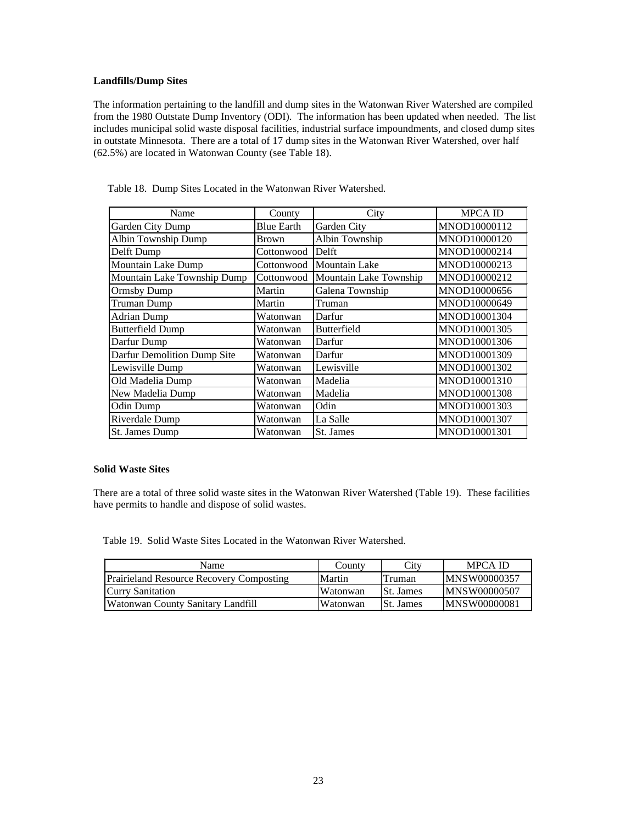## **Landfills/Dump Sites**

The information pertaining to the landfill and dump sites in the Watonwan River Watershed are compiled from the 1980 Outstate Dump Inventory (ODI). The information has been updated when needed. The list includes municipal solid waste disposal facilities, industrial surface impoundments, and closed dump sites in outstate Minnesota. There are a total of 17 dump sites in the Watonwan River Watershed, over half (62.5%) are located in Watonwan County (see Table 18).

| Name                        | County            | City                   | <b>MPCA ID</b> |
|-----------------------------|-------------------|------------------------|----------------|
| Garden City Dump            | <b>Blue Earth</b> | Garden City            | MNOD10000112   |
| Albin Township Dump         | <b>Brown</b>      | Albin Township         | MNOD10000120   |
| Delft Dump                  | Cottonwood        | Delft                  | MNOD10000214   |
| Mountain Lake Dump          | Cottonwood        | <b>Mountain Lake</b>   | MNOD10000213   |
| Mountain Lake Township Dump | Cottonwood        | Mountain Lake Township | MNOD10000212   |
| Ormsby Dump                 | Martin            | Galena Township        | MNOD10000656   |
| Truman Dump                 | Martin            | Truman                 | MNOD10000649   |
| <b>Adrian Dump</b>          | Watonwan          | Darfur                 | MNOD10001304   |
| <b>Butterfield Dump</b>     | Watonwan          | <b>Butterfield</b>     | MNOD10001305   |
| Darfur Dump                 | Watonwan          | Darfur                 | MNOD10001306   |
| Darfur Demolition Dump Site | Watonwan          | Darfur                 | MNOD10001309   |
| Lewisville Dump             | Watonwan          | Lewisville             | MNOD10001302   |
| Old Madelia Dump            | Watonwan          | Madelia                | MNOD10001310   |
| New Madelia Dump            | Watonwan          | Madelia                | MNOD10001308   |
| Odin Dump                   | Watonwan          | Odin                   | MNOD10001303   |
| Riverdale Dump              | Watonwan          | La Salle               | MNOD10001307   |
| St. James Dump              | Watonwan          | St. James              | MNOD10001301   |

Table 18. Dump Sites Located in the Watonwan River Watershed.

## **Solid Waste Sites**

There are a total of three solid waste sites in the Watonwan River Watershed (Table 19). These facilities have permits to handle and dispose of solid wastes.

Table 19. Solid Waste Sites Located in the Watonwan River Watershed.

| Name                                            | County   | City             | MPCA ID              |
|-------------------------------------------------|----------|------------------|----------------------|
| <b>Prairieland Resource Recovery Composting</b> | Martin   | Truman           | <b>IMNSW00000357</b> |
| <b>Curry Sanitation</b>                         | Watonwan | <b>St.</b> James | <b>IMNSW00000507</b> |
| Watonwan County Sanitary Landfill               | Watonwan | <b>St.</b> James | <b>IMNSW00000081</b> |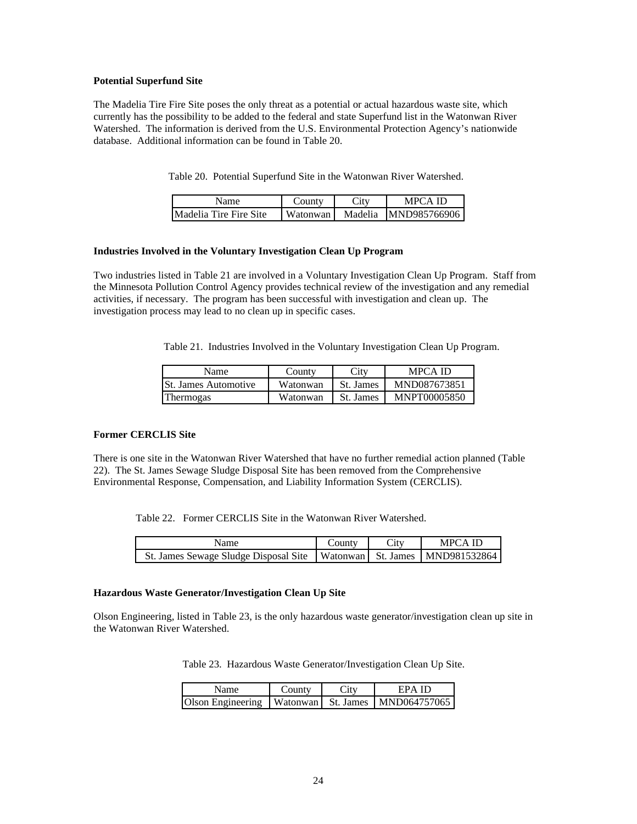## **Potential Superfund Site**

The Madelia Tire Fire Site poses the only threat as a potential or actual hazardous waste site, which currently has the possibility to be added to the federal and state Superfund list in the Watonwan River Watershed. The information is derived from the U.S. Environmental Protection Agency's nationwide database. Additional information can be found in Table 20.

Table 20. Potential Superfund Site in the Watonwan River Watershed.

| Name                          | County   | Lity    | MPCA ID      |
|-------------------------------|----------|---------|--------------|
| <b>Madelia Tire Fire Site</b> | Watonwan | Madelia | MND985766906 |

## **Industries Involved in the Voluntary Investigation Clean Up Program**

Two industries listed in Table 21 are involved in a Voluntary Investigation Clean Up Program. Staff from the Minnesota Pollution Control Agency provides technical review of the investigation and any remedial activities, if necessary. The program has been successful with investigation and clean up. The investigation process may lead to no clean up in specific cases.

Table 21. Industries Involved in the Voluntary Investigation Clean Up Program.

| Name                         | County   | City      | MPCA ID      |
|------------------------------|----------|-----------|--------------|
| <b>ISt. James Automotive</b> | Watonwan | St. James | MND087673851 |
| <b>Thermogas</b>             | Watonwan | St. James | MNPT00005850 |

#### **Former CERCLIS Site**

There is one site in the Watonwan River Watershed that have no further remedial action planned (Table 22). The St. James Sewage Sludge Disposal Site has been removed from the Comprehensive Environmental Response, Compensation, and Liability Information System (CERCLIS).

Table 22. Former CERCLIS Site in the Watonwan River Watershed.

| Name                                                                        | County | City | MPCA ID |
|-----------------------------------------------------------------------------|--------|------|---------|
| St. James Sewage Sludge Disposal Site   Watonwan   St. James   MND981532864 |        |      |         |

#### **Hazardous Waste Generator/Investigation Clean Up Site**

Olson Engineering, listed in Table 23, is the only hazardous waste generator/investigation clean up site in the Watonwan River Watershed.

Table 23. Hazardous Waste Generator/Investigation Clean Up Site.

| Name                                                    | County | City | EPA ID |
|---------------------------------------------------------|--------|------|--------|
| Olson Engineering   Watonwan   St. James   MND064757065 |        |      |        |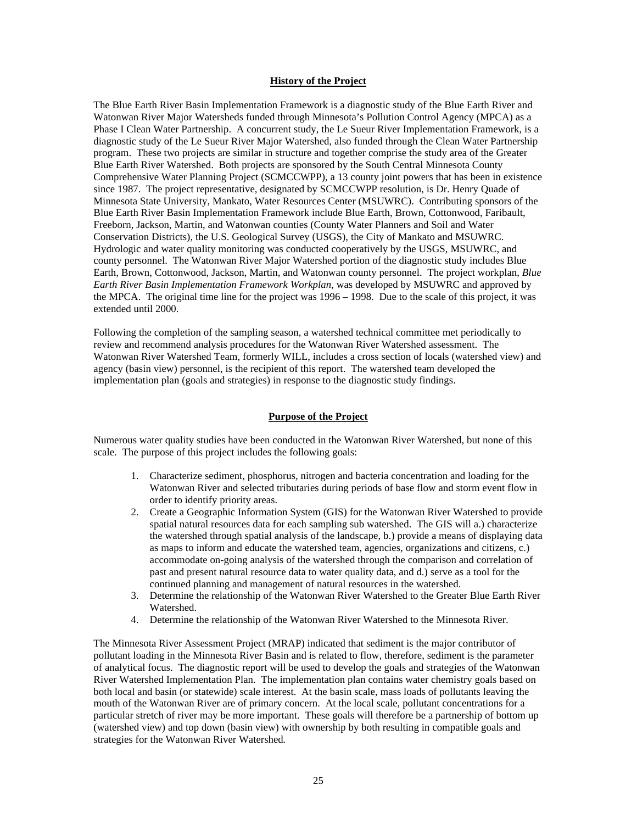# **History of the Project**

The Blue Earth River Basin Implementation Framework is a diagnostic study of the Blue Earth River and Watonwan River Major Watersheds funded through Minnesota's Pollution Control Agency (MPCA) as a Phase I Clean Water Partnership. A concurrent study, the Le Sueur River Implementation Framework, is a diagnostic study of the Le Sueur River Major Watershed, also funded through the Clean Water Partnership program. These two projects are similar in structure and together comprise the study area of the Greater Blue Earth River Watershed. Both projects are sponsored by the South Central Minnesota County Comprehensive Water Planning Project (SCMCCWPP), a 13 county joint powers that has been in existence since 1987. The project representative, designated by SCMCCWPP resolution, is Dr. Henry Quade of Minnesota State University, Mankato, Water Resources Center (MSUWRC). Contributing sponsors of the Blue Earth River Basin Implementation Framework include Blue Earth, Brown, Cottonwood, Faribault, Freeborn, Jackson, Martin, and Watonwan counties (County Water Planners and Soil and Water Conservation Districts), the U.S. Geological Survey (USGS), the City of Mankato and MSUWRC. Hydrologic and water quality monitoring was conducted cooperatively by the USGS, MSUWRC, and county personnel. The Watonwan River Major Watershed portion of the diagnostic study includes Blue Earth, Brown, Cottonwood, Jackson, Martin, and Watonwan county personnel. The project workplan, *Blue Earth River Basin Implementation Framework Workplan*, was developed by MSUWRC and approved by the MPCA. The original time line for the project was 1996 – 1998. Due to the scale of this project, it was extended until 2000.

Following the completion of the sampling season, a watershed technical committee met periodically to review and recommend analysis procedures for the Watonwan River Watershed assessment. The Watonwan River Watershed Team, formerly WILL, includes a cross section of locals (watershed view) and agency (basin view) personnel, is the recipient of this report. The watershed team developed the implementation plan (goals and strategies) in response to the diagnostic study findings.

#### **Purpose of the Project**

Numerous water quality studies have been conducted in the Watonwan River Watershed, but none of this scale. The purpose of this project includes the following goals:

- 1. Characterize sediment, phosphorus, nitrogen and bacteria concentration and loading for the Watonwan River and selected tributaries during periods of base flow and storm event flow in order to identify priority areas.
- 2. Create a Geographic Information System (GIS) for the Watonwan River Watershed to provide spatial natural resources data for each sampling sub watershed. The GIS will a.) characterize the watershed through spatial analysis of the landscape, b.) provide a means of displaying data as maps to inform and educate the watershed team, agencies, organizations and citizens, c.) accommodate on-going analysis of the watershed through the comparison and correlation of past and present natural resource data to water quality data, and d.) serve as a tool for the continued planning and management of natural resources in the watershed.
- 3. Determine the relationship of the Watonwan River Watershed to the Greater Blue Earth River Watershed.
- 4. Determine the relationship of the Watonwan River Watershed to the Minnesota River.

The Minnesota River Assessment Project (MRAP) indicated that sediment is the major contributor of pollutant loading in the Minnesota River Basin and is related to flow, therefore, sediment is the parameter of analytical focus. The diagnostic report will be used to develop the goals and strategies of the Watonwan River Watershed Implementation Plan. The implementation plan contains water chemistry goals based on both local and basin (or statewide) scale interest. At the basin scale, mass loads of pollutants leaving the mouth of the Watonwan River are of primary concern. At the local scale, pollutant concentrations for a particular stretch of river may be more important. These goals will therefore be a partnership of bottom up (watershed view) and top down (basin view) with ownership by both resulting in compatible goals and strategies for the Watonwan River Watershed*.*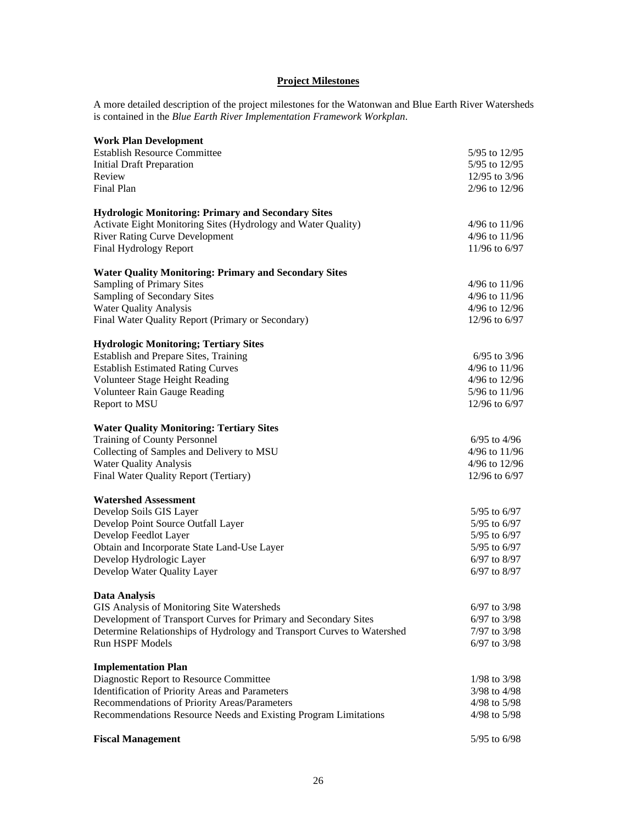# **Project Milestones**

A more detailed description of the project milestones for the Watonwan and Blue Earth River Watersheds is contained in the *Blue Earth River Implementation Framework Workplan*.

| <b>Work Plan Development</b>                                           |                   |
|------------------------------------------------------------------------|-------------------|
| <b>Establish Resource Committee</b>                                    | 5/95 to 12/95     |
| <b>Initial Draft Preparation</b>                                       | 5/95 to 12/95     |
| Review                                                                 | 12/95 to 3/96     |
| Final Plan                                                             | $2/96$ to $12/96$ |
| <b>Hydrologic Monitoring: Primary and Secondary Sites</b>              |                   |
| Activate Eight Monitoring Sites (Hydrology and Water Quality)          | 4/96 to 11/96     |
| <b>River Rating Curve Development</b>                                  | 4/96 to 11/96     |
| Final Hydrology Report                                                 | 11/96 to 6/97     |
| <b>Water Quality Monitoring: Primary and Secondary Sites</b>           |                   |
| <b>Sampling of Primary Sites</b>                                       | 4/96 to 11/96     |
| Sampling of Secondary Sites                                            | 4/96 to 11/96     |
| <b>Water Quality Analysis</b>                                          | 4/96 to 12/96     |
| Final Water Quality Report (Primary or Secondary)                      | 12/96 to 6/97     |
| <b>Hydrologic Monitoring; Tertiary Sites</b>                           |                   |
| Establish and Prepare Sites, Training                                  | $6/95$ to 3/96    |
| <b>Establish Estimated Rating Curves</b>                               | 4/96 to 11/96     |
| Volunteer Stage Height Reading                                         | 4/96 to 12/96     |
| Volunteer Rain Gauge Reading                                           | 5/96 to 11/96     |
| Report to MSU                                                          | 12/96 to 6/97     |
| <b>Water Quality Monitoring: Tertiary Sites</b>                        |                   |
| Training of County Personnel                                           | $6/95$ to $4/96$  |
| Collecting of Samples and Delivery to MSU                              | $4/96$ to $11/96$ |
| <b>Water Quality Analysis</b>                                          | 4/96 to 12/96     |
| Final Water Quality Report (Tertiary)                                  | 12/96 to 6/97     |
| <b>Watershed Assessment</b>                                            |                   |
| Develop Soils GIS Layer                                                | $5/95$ to $6/97$  |
| Develop Point Source Outfall Layer                                     | $5/95$ to 6/97    |
| Develop Feedlot Layer                                                  | $5/95$ to $6/97$  |
| Obtain and Incorporate State Land-Use Layer                            | $5/95$ to $6/97$  |
| Develop Hydrologic Layer                                               | $6/97$ to $8/97$  |
| Develop Water Quality Layer                                            | 6/97 to 8/97      |
| <b>Data Analysis</b>                                                   |                   |
| GIS Analysis of Monitoring Site Watersheds                             | 6/97 to 3/98      |
| Development of Transport Curves for Primary and Secondary Sites        | 6/97 to 3/98      |
| Determine Relationships of Hydrology and Transport Curves to Watershed | 7/97 to 3/98      |
| Run HSPF Models                                                        | $6/97$ to $3/98$  |
| <b>Implementation Plan</b>                                             |                   |
| Diagnostic Report to Resource Committee                                | 1/98 to 3/98      |
| Identification of Priority Areas and Parameters                        | $3/98$ to $4/98$  |
| Recommendations of Priority Areas/Parameters                           | 4/98 to 5/98      |
| Recommendations Resource Needs and Existing Program Limitations        | 4/98 to $5/98$    |
| <b>Fiscal Management</b>                                               | 5/95 to 6/98      |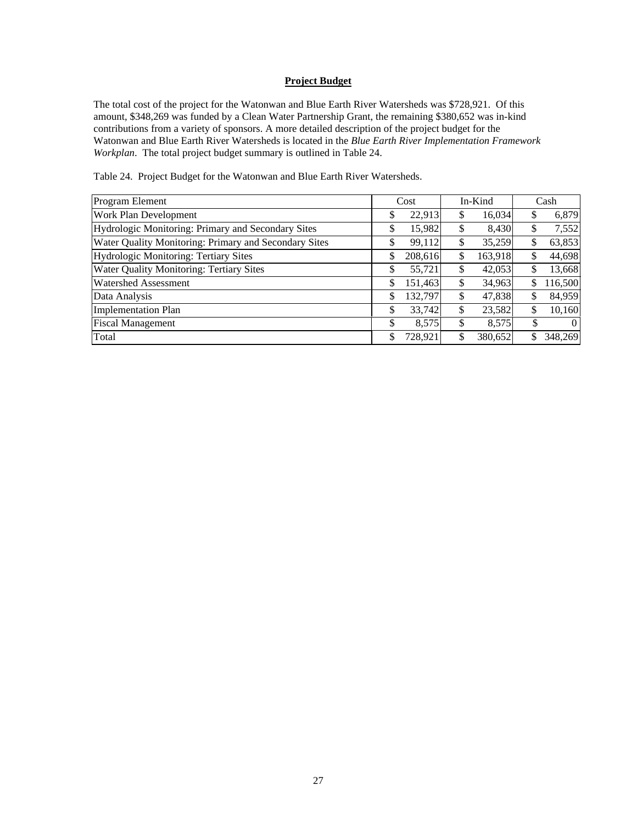# **Project Budget**

The total cost of the project for the Watonwan and Blue Earth River Watersheds was \$728,921. Of this amount, \$348,269 was funded by a Clean Water Partnership Grant, the remaining \$380,652 was in-kind contributions from a variety of sponsors. A more detailed description of the project budget for the Watonwan and Blue Earth River Watersheds is located in the *Blue Earth River Implementation Framework Workplan*. The total project budget summary is outlined in Table 24.

Table 24. Project Budget for the Watonwan and Blue Earth River Watersheds.

| Program Element                                       | Cost          |    | In-Kind | Cash           |
|-------------------------------------------------------|---------------|----|---------|----------------|
| Work Plan Development                                 | \$<br>22,913  | S  | 16,034  | \$<br>6,879    |
| Hydrologic Monitoring: Primary and Secondary Sites    | \$<br>15,982  | \$ | 8,430   | \$<br>7,552    |
| Water Quality Monitoring: Primary and Secondary Sites | \$<br>99,112  | \$ | 35,259  | \$<br>63,853   |
| Hydrologic Monitoring: Tertiary Sites                 | \$<br>208,616 | \$ | 163,918 | \$<br>44,698   |
| Water Quality Monitoring: Tertiary Sites              | \$<br>55,721  | \$ | 42,053  | \$<br>13,668   |
| <b>Watershed Assessment</b>                           | \$<br>151,463 | \$ | 34,963  | \$<br>116,500  |
| Data Analysis                                         | \$<br>132,797 | \$ | 47,838  | \$<br>84,959   |
| <b>Implementation Plan</b>                            | \$<br>33,742  | \$ | 23,582  | \$<br>10,160   |
| <b>Fiscal Management</b>                              | \$<br>8,575   | \$ | 8,575   | \$<br>$\theta$ |
| Total                                                 | \$<br>728,921 | \$ | 380,652 | \$<br>348,269  |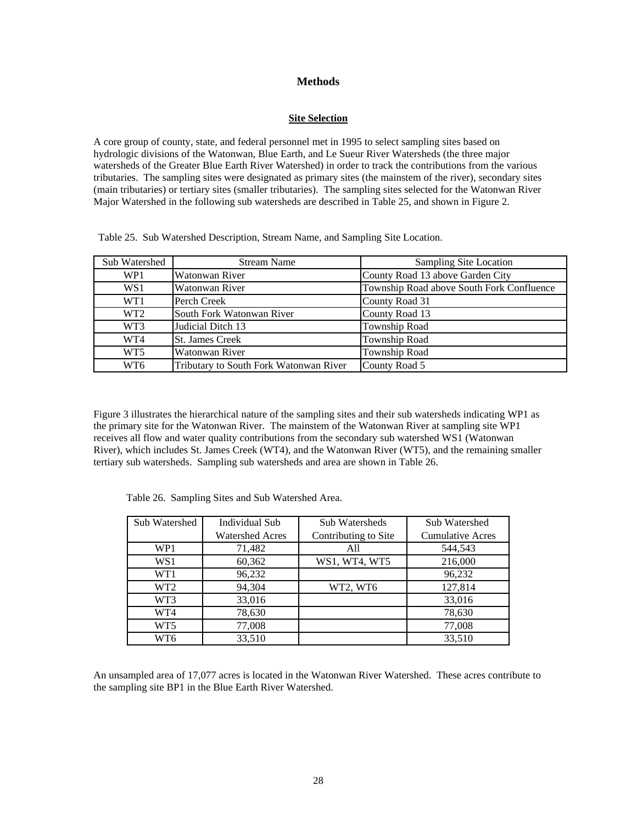# **Methods**

## **Site Selection**

A core group of county, state, and federal personnel met in 1995 to select sampling sites based on hydrologic divisions of the Watonwan, Blue Earth, and Le Sueur River Watersheds (the three major watersheds of the Greater Blue Earth River Watershed) in order to track the contributions from the various tributaries. The sampling sites were designated as primary sites (the mainstem of the river), secondary sites (main tributaries) or tertiary sites (smaller tributaries). The sampling sites selected for the Watonwan River Major Watershed in the following sub watersheds are described in Table 25, and shown in Figure 2.

Table 25. Sub Watershed Description, Stream Name, and Sampling Site Location.

| Sub Watershed   | <b>Stream Name</b>                     | <b>Sampling Site Location</b>             |
|-----------------|----------------------------------------|-------------------------------------------|
| WP1             | Watonwan River                         | County Road 13 above Garden City          |
| WS1             | Watonwan River                         | Township Road above South Fork Confluence |
| WT1             | Perch Creek                            | County Road 31                            |
| WT <sub>2</sub> | South Fork Watonwan River              | County Road 13                            |
| WT3             | Judicial Ditch 13                      | Township Road                             |
| WT4             | <b>St. James Creek</b>                 | Township Road                             |
| WT <sub>5</sub> | Watonwan River                         | Township Road                             |
| WT <sub>6</sub> | Tributary to South Fork Watonwan River | County Road 5                             |

Figure 3 illustrates the hierarchical nature of the sampling sites and their sub watersheds indicating WP1 as the primary site for the Watonwan River. The mainstem of the Watonwan River at sampling site WP1 receives all flow and water quality contributions from the secondary sub watershed WS1 (Watonwan River), which includes St. James Creek (WT4), and the Watonwan River (WT5), and the remaining smaller tertiary sub watersheds. Sampling sub watersheds and area are shown in Table 26.

| Sub Watershed   | <b>Individual Sub</b>  | Sub Watersheds       | Sub Watershed           |
|-----------------|------------------------|----------------------|-------------------------|
|                 | <b>Watershed Acres</b> | Contributing to Site | <b>Cumulative Acres</b> |
| WP1             | 71,482                 | All                  | 544,543                 |
| WS1             | 60,362                 | WS1, WT4, WT5        | 216,000                 |
| WT1             | 96,232                 |                      | 96,232                  |
| WT <sub>2</sub> | 94,304                 | WT2, WT6             | 127,814                 |
| WT3             | 33,016                 |                      | 33,016                  |
| WT4             | 78,630                 |                      | 78,630                  |
| WT5             | 77,008                 |                      | 77,008                  |
| WT6             | 33.510                 |                      | 33,510                  |

Table 26. Sampling Sites and Sub Watershed Area.

An unsampled area of 17,077 acres is located in the Watonwan River Watershed. These acres contribute to the sampling site BP1 in the Blue Earth River Watershed.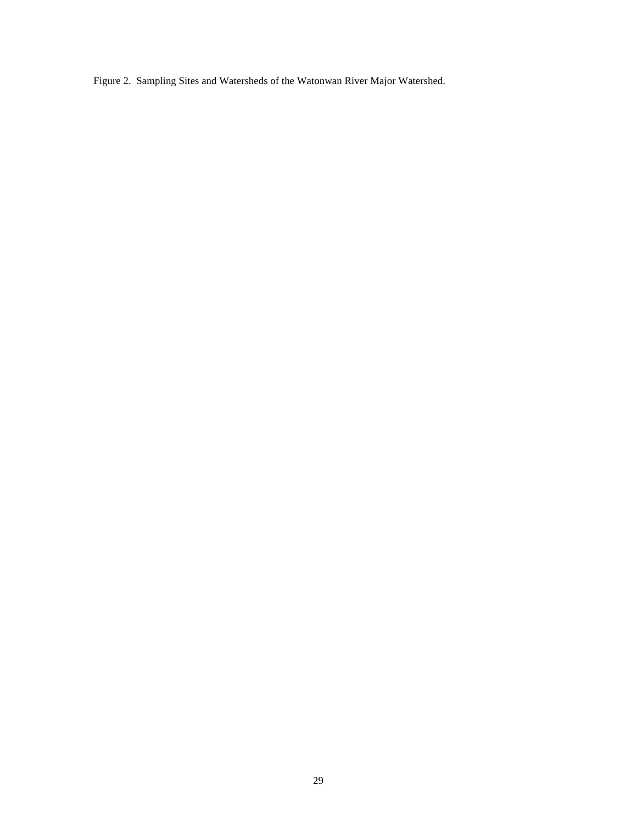Figure 2. Sampling Sites and Watersheds of the Watonwan River Major Watershed.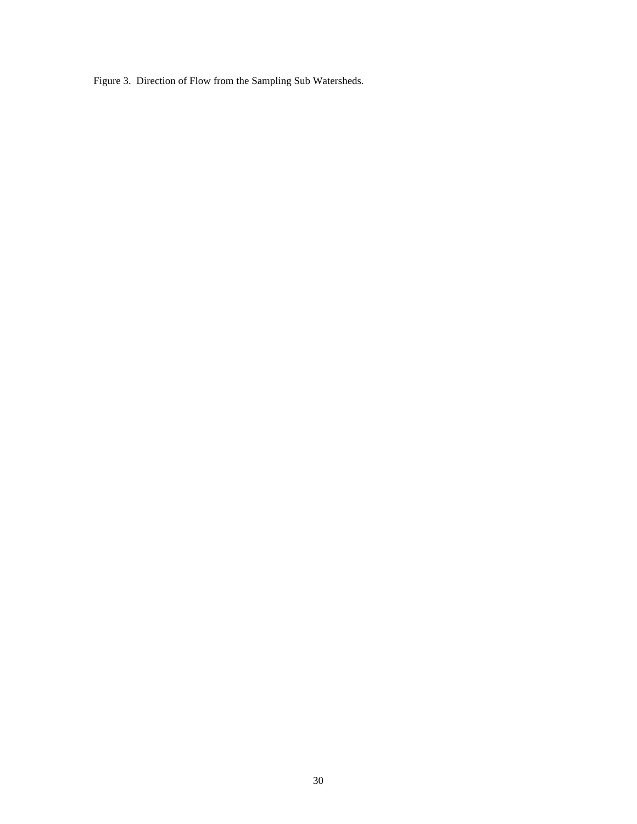Figure 3. Direction of Flow from the Sampling Sub Watersheds.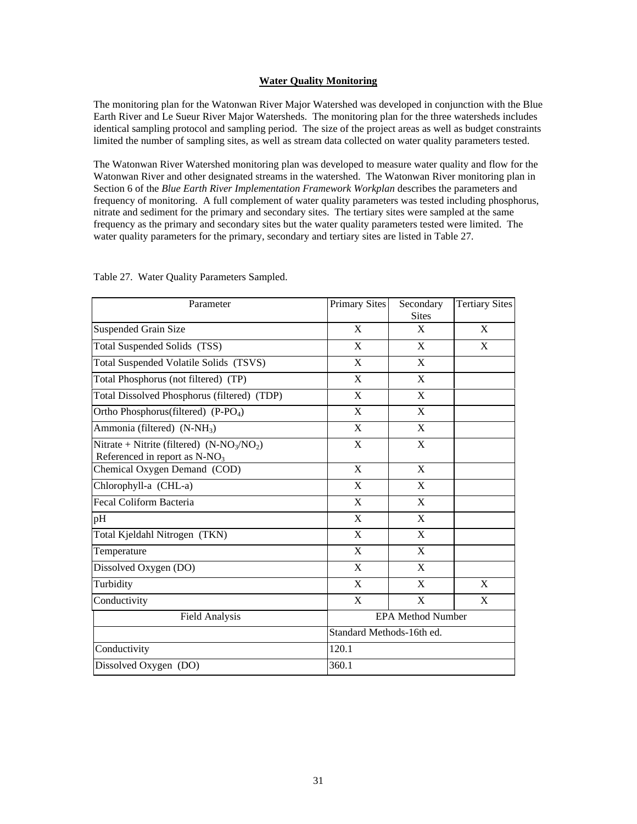# **Water Quality Monitoring**

The monitoring plan for the Watonwan River Major Watershed was developed in conjunction with the Blue Earth River and Le Sueur River Major Watersheds. The monitoring plan for the three watersheds includes identical sampling protocol and sampling period. The size of the project areas as well as budget constraints limited the number of sampling sites, as well as stream data collected on water quality parameters tested.

The Watonwan River Watershed monitoring plan was developed to measure water quality and flow for the Watonwan River and other designated streams in the watershed. The Watonwan River monitoring plan in Section 6 of the *Blue Earth River Implementation Framework Workplan* describes the parameters and frequency of monitoring. A full complement of water quality parameters was tested including phosphorus, nitrate and sediment for the primary and secondary sites. The tertiary sites were sampled at the same frequency as the primary and secondary sites but the water quality parameters tested were limited. The water quality parameters for the primary, secondary and tertiary sites are listed in Table 27.

| Parameter                                                                        | <b>Primary Sites</b>      | Secondary<br><b>Sites</b> | <b>Tertiary Sites</b> |
|----------------------------------------------------------------------------------|---------------------------|---------------------------|-----------------------|
| <b>Suspended Grain Size</b>                                                      | X                         | X                         | X                     |
| Total Suspended Solids (TSS)                                                     | X                         | $\mathbf{X}$              | $\mathbf{X}$          |
| Total Suspended Volatile Solids (TSVS)                                           | $\mathbf{X}$              | $\mathbf{X}$              |                       |
| Total Phosphorus (not filtered) (TP)                                             | X                         | X                         |                       |
| Total Dissolved Phosphorus (filtered) (TDP)                                      | X                         | X                         |                       |
| Ortho Phosphorus(filtered) (P-PO <sub>4</sub> )                                  | X                         | X                         |                       |
| Ammonia (filtered) (N-NH <sub>3</sub> )                                          | X                         | X                         |                       |
| Nitrate + Nitrite (filtered) $(N-NO_3/NO_2)$<br>Referenced in report as $N-NO_3$ | X                         | $\boldsymbol{\mathrm{X}}$ |                       |
| Chemical Oxygen Demand (COD)                                                     | X                         | X                         |                       |
| Chlorophyll-a (CHL-a)                                                            | X                         | X                         |                       |
| Fecal Coliform Bacteria                                                          | X                         | X                         |                       |
| pH                                                                               | X                         | X                         |                       |
| Total Kjeldahl Nitrogen (TKN)                                                    | X                         | X                         |                       |
| Temperature                                                                      | X                         | X                         |                       |
| Dissolved Oxygen (DO)                                                            | X                         | X                         |                       |
| Turbidity                                                                        | X                         | X                         | X                     |
| Conductivity                                                                     | X                         | X                         | X                     |
| <b>Field Analysis</b>                                                            |                           | <b>EPA Method Number</b>  |                       |
|                                                                                  | Standard Methods-16th ed. |                           |                       |
| Conductivity                                                                     | 120.1                     |                           |                       |
| Dissolved Oxygen (DO)                                                            | 360.1                     |                           |                       |

Table 27. Water Quality Parameters Sampled.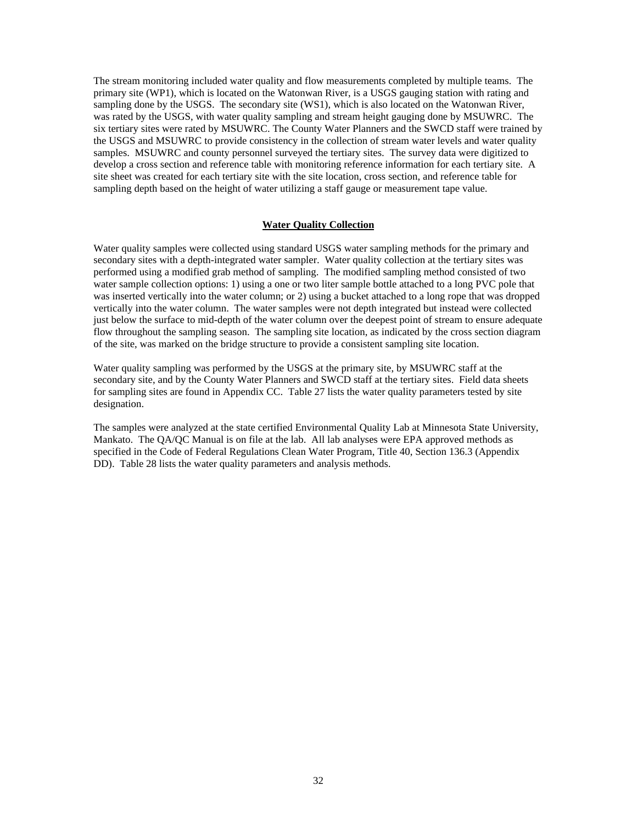The stream monitoring included water quality and flow measurements completed by multiple teams. The primary site (WP1), which is located on the Watonwan River, is a USGS gauging station with rating and sampling done by the USGS. The secondary site (WS1), which is also located on the Watonwan River, was rated by the USGS, with water quality sampling and stream height gauging done by MSUWRC. The six tertiary sites were rated by MSUWRC. The County Water Planners and the SWCD staff were trained by the USGS and MSUWRC to provide consistency in the collection of stream water levels and water quality samples. MSUWRC and county personnel surveyed the tertiary sites. The survey data were digitized to develop a cross section and reference table with monitoring reference information for each tertiary site. A site sheet was created for each tertiary site with the site location, cross section, and reference table for sampling depth based on the height of water utilizing a staff gauge or measurement tape value.

## **Water Quality Collection**

Water quality samples were collected using standard USGS water sampling methods for the primary and secondary sites with a depth-integrated water sampler. Water quality collection at the tertiary sites was performed using a modified grab method of sampling. The modified sampling method consisted of two water sample collection options: 1) using a one or two liter sample bottle attached to a long PVC pole that was inserted vertically into the water column; or 2) using a bucket attached to a long rope that was dropped vertically into the water column. The water samples were not depth integrated but instead were collected just below the surface to mid-depth of the water column over the deepest point of stream to ensure adequate flow throughout the sampling season. The sampling site location, as indicated by the cross section diagram of the site, was marked on the bridge structure to provide a consistent sampling site location.

Water quality sampling was performed by the USGS at the primary site, by MSUWRC staff at the secondary site, and by the County Water Planners and SWCD staff at the tertiary sites. Field data sheets for sampling sites are found in Appendix CC. Table 27 lists the water quality parameters tested by site designation.

The samples were analyzed at the state certified Environmental Quality Lab at Minnesota State University, Mankato. The QA/QC Manual is on file at the lab. All lab analyses were EPA approved methods as specified in the Code of Federal Regulations Clean Water Program, Title 40, Section 136.3 (Appendix DD). Table 28 lists the water quality parameters and analysis methods.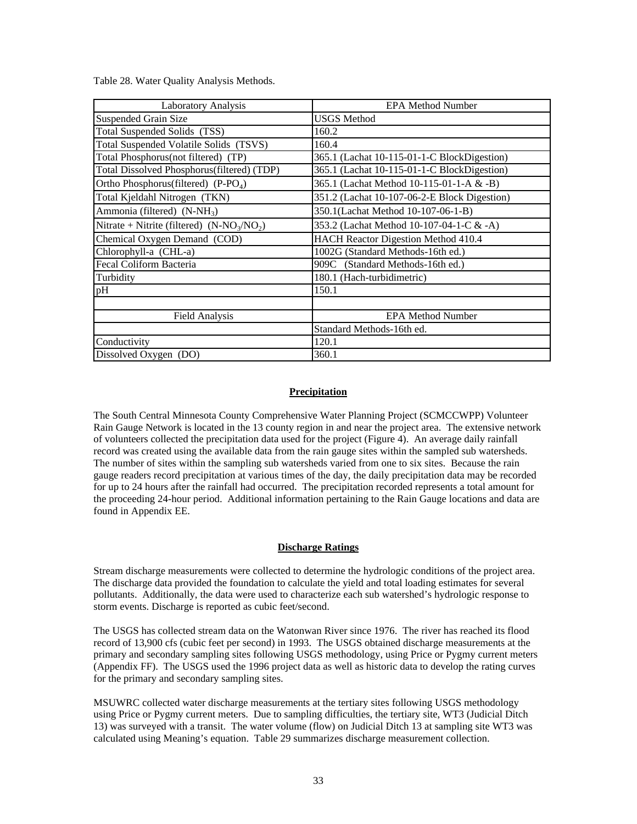Table 28. Water Quality Analysis Methods.

| Laboratory Analysis                             | <b>EPA Method Number</b>                     |  |  |
|-------------------------------------------------|----------------------------------------------|--|--|
| Suspended Grain Size                            | <b>USGS</b> Method                           |  |  |
| Total Suspended Solids (TSS)                    | 160.2                                        |  |  |
| Total Suspended Volatile Solids (TSVS)          | 160.4                                        |  |  |
| Total Phosphorus(not filtered) (TP)             | 365.1 (Lachat 10-115-01-1-C BlockDigestion)  |  |  |
| Total Dissolved Phosphorus(filtered) (TDP)      | 365.1 (Lachat 10-115-01-1-C BlockDigestion)  |  |  |
| Ortho Phosphorus(filtered) (P-PO <sub>4</sub> ) | 365.1 (Lachat Method 10-115-01-1-A & -B)     |  |  |
| Total Kjeldahl Nitrogen (TKN)                   | 351.2 (Lachat 10-107-06-2-E Block Digestion) |  |  |
| Ammonia (filtered) $(N-NH_3)$                   | 350.1(Lachat Method 10-107-06-1-B)           |  |  |
| Nitrate + Nitrite (filtered) $(N-NO_3/NO_2)$    | 353.2 (Lachat Method 10-107-04-1-C & -A)     |  |  |
| Chemical Oxygen Demand (COD)                    | HACH Reactor Digestion Method 410.4          |  |  |
| Chlorophyll-a (CHL-a)                           | 1002G (Standard Methods-16th ed.)            |  |  |
| Fecal Coliform Bacteria                         | 909C (Standard Methods-16th ed.)             |  |  |
| Turbidity                                       | 180.1 (Hach-turbidimetric)                   |  |  |
| pH                                              | 150.1                                        |  |  |
|                                                 |                                              |  |  |
| Field Analysis                                  | <b>EPA Method Number</b>                     |  |  |
|                                                 | Standard Methods-16th ed.                    |  |  |
| Conductivity                                    | 120.1                                        |  |  |
| Dissolved Oxygen (DO)                           | 360.1                                        |  |  |

# **Precipitation**

The South Central Minnesota County Comprehensive Water Planning Project (SCMCCWPP) Volunteer Rain Gauge Network is located in the 13 county region in and near the project area. The extensive network of volunteers collected the precipitation data used for the project (Figure 4). An average daily rainfall record was created using the available data from the rain gauge sites within the sampled sub watersheds. The number of sites within the sampling sub watersheds varied from one to six sites. Because the rain gauge readers record precipitation at various times of the day, the daily precipitation data may be recorded for up to 24 hours after the rainfall had occurred. The precipitation recorded represents a total amount for the proceeding 24-hour period. Additional information pertaining to the Rain Gauge locations and data are found in Appendix EE.

## **Discharge Ratings**

Stream discharge measurements were collected to determine the hydrologic conditions of the project area. The discharge data provided the foundation to calculate the yield and total loading estimates for several pollutants. Additionally, the data were used to characterize each sub watershed's hydrologic response to storm events. Discharge is reported as cubic feet/second.

The USGS has collected stream data on the Watonwan River since 1976. The river has reached its flood record of 13,900 cfs (cubic feet per second) in 1993. The USGS obtained discharge measurements at the primary and secondary sampling sites following USGS methodology, using Price or Pygmy current meters (Appendix FF). The USGS used the 1996 project data as well as historic data to develop the rating curves for the primary and secondary sampling sites.

MSUWRC collected water discharge measurements at the tertiary sites following USGS methodology using Price or Pygmy current meters. Due to sampling difficulties, the tertiary site, WT3 (Judicial Ditch 13) was surveyed with a transit. The water volume (flow) on Judicial Ditch 13 at sampling site WT3 was calculated using Meaning's equation. Table 29 summarizes discharge measurement collection.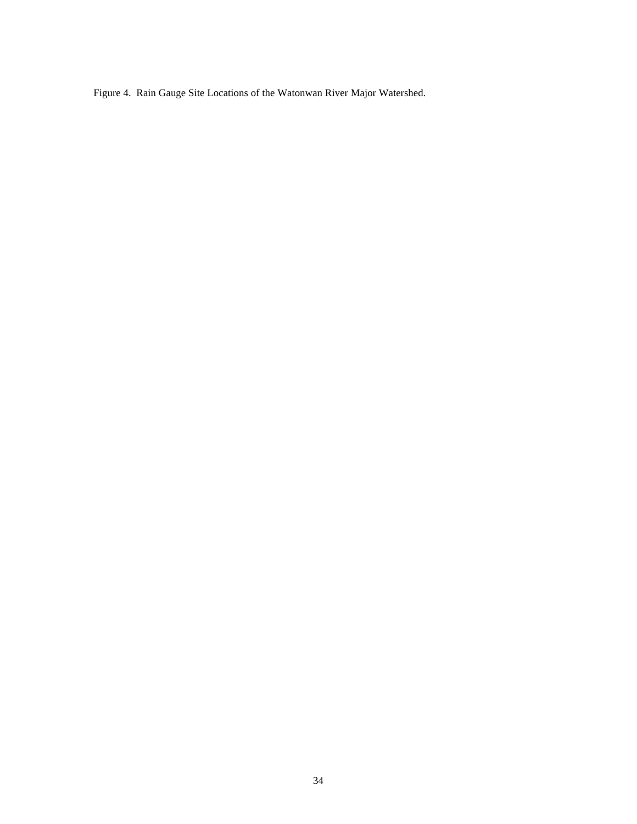Figure 4. Rain Gauge Site Locations of the Watonwan River Major Watershed.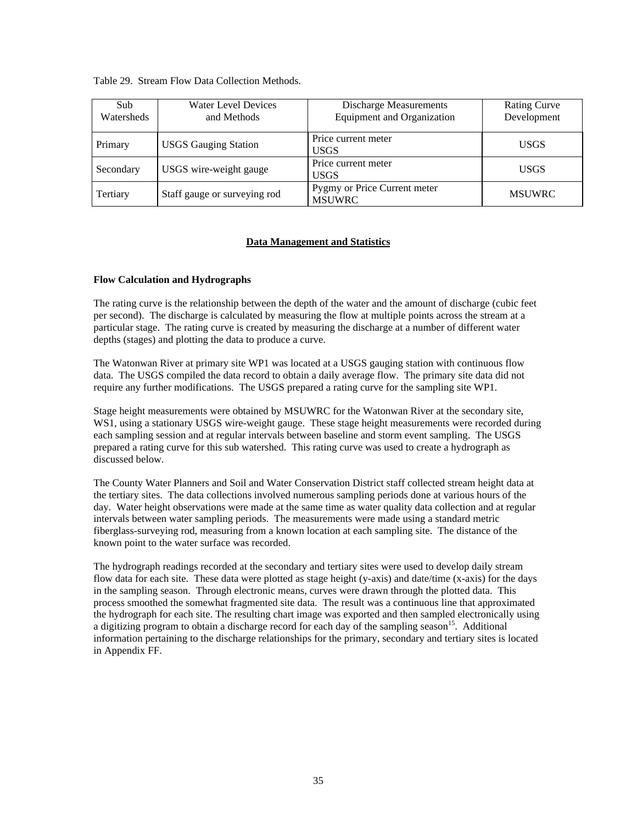Table 29. Stream Flow Data Collection Methods.

| Sub<br>Watersheds | Water Level Devices<br>and Methods | <b>Discharge Measurements</b><br><b>Equipment and Organization</b> | <b>Rating Curve</b><br>Development |
|-------------------|------------------------------------|--------------------------------------------------------------------|------------------------------------|
| Primary           | <b>USGS Gauging Station</b>        | Price current meter<br><b>USGS</b>                                 | <b>USGS</b>                        |
| Secondary         | USGS wire-weight gauge             | Price current meter<br><b>USGS</b>                                 | <b>USGS</b>                        |
| Tertiary          | Staff gauge or surveying rod       | Pygmy or Price Current meter<br><b>MSUWRC</b>                      | <b>MSUWRC</b>                      |

# **Data Management and Statistics**

# **Flow Calculation and Hydrographs**

The rating curve is the relationship between the depth of the water and the amount of discharge (cubic feet per second). The discharge is calculated by measuring the flow at multiple points across the stream at a particular stage. The rating curve is created by measuring the discharge at a number of different water depths (stages) and plotting the data to produce a curve.

The Watonwan River at primary site WP1 was located at a USGS gauging station with continuous flow data. The USGS compiled the data record to obtain a daily average flow. The primary site data did not require any further modifications. The USGS prepared a rating curve for the sampling site WP1.

Stage height measurements were obtained by MSUWRC for the Watonwan River at the secondary site, WS1, using a stationary USGS wire-weight gauge. These stage height measurements were recorded during each sampling session and at regular intervals between baseline and storm event sampling. The USGS prepared a rating curve for this sub watershed. This rating curve was used to create a hydrograph as discussed below.

The County Water Planners and Soil and Water Conservation District staff collected stream height data at the tertiary sites. The data collections involved numerous sampling periods done at various hours of the day. Water height observations were made at the same time as water quality data collection and at regular intervals between water sampling periods. The measurements were made using a standard metric fiberglass-surveying rod, measuring from a known location at each sampling site. The distance of the known point to the water surface was recorded.

The hydrograph readings recorded at the secondary and tertiary sites were used to develop daily stream flow data for each site. These data were plotted as stage height (y-axis) and date/time (x-axis) for the days in the sampling season. Through electronic means, curves were drawn through the plotted data. This process smoothed the somewhat fragmented site data. The result was a continuous line that approximated the hydrograph for each site. The resulting chart image was exported and then sampled electronically using a digitizing program to obtain a discharge record for each day of the sampling season<sup>15</sup>. Additional information pertaining to the discharge relationships for the primary, secondary and tertiary sites is located in Appendix FF.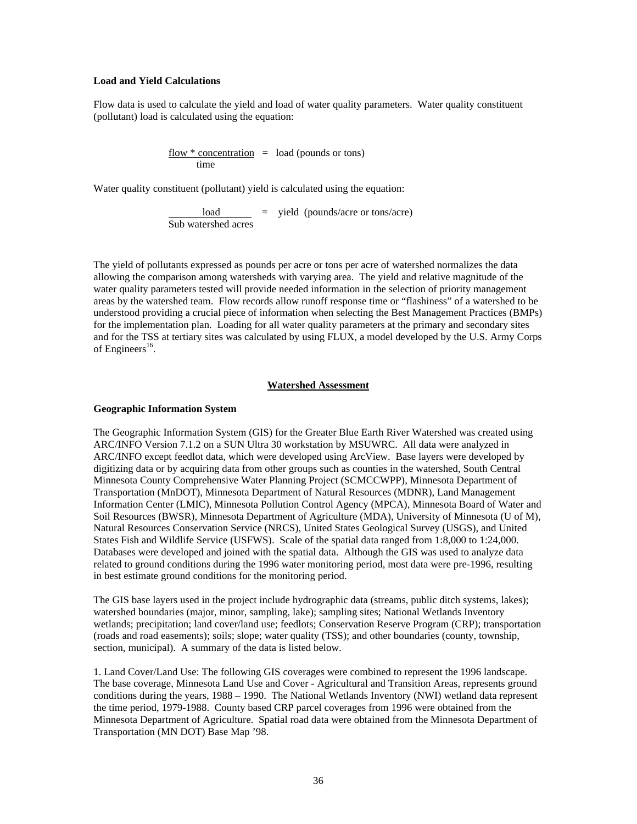# **Load and Yield Calculations**

Flow data is used to calculate the yield and load of water quality parameters. Water quality constituent (pollutant) load is calculated using the equation:

> $flow * concentration = load (pounds or tons)$ time

Water quality constituent (pollutant) yield is calculated using the equation:

 $load$  = yield (pounds/acre or tons/acre) Sub watershed acres

The yield of pollutants expressed as pounds per acre or tons per acre of watershed normalizes the data allowing the comparison among watersheds with varying area. The yield and relative magnitude of the water quality parameters tested will provide needed information in the selection of priority management areas by the watershed team. Flow records allow runoff response time or "flashiness" of a watershed to be understood providing a crucial piece of information when selecting the Best Management Practices (BMPs) for the implementation plan. Loading for all water quality parameters at the primary and secondary sites and for the TSS at tertiary sites was calculated by using FLUX, a model developed by the U.S. Army Corps of Engineers<sup>16</sup>.

# **Watershed Assessment**

#### **Geographic Information System**

The Geographic Information System (GIS) for the Greater Blue Earth River Watershed was created using ARC/INFO Version 7.1.2 on a SUN Ultra 30 workstation by MSUWRC. All data were analyzed in ARC/INFO except feedlot data, which were developed using ArcView. Base layers were developed by digitizing data or by acquiring data from other groups such as counties in the watershed, South Central Minnesota County Comprehensive Water Planning Project (SCMCCWPP), Minnesota Department of Transportation (MnDOT), Minnesota Department of Natural Resources (MDNR), Land Management Information Center (LMIC), Minnesota Pollution Control Agency (MPCA), Minnesota Board of Water and Soil Resources (BWSR), Minnesota Department of Agriculture (MDA), University of Minnesota (U of M), Natural Resources Conservation Service (NRCS), United States Geological Survey (USGS), and United States Fish and Wildlife Service (USFWS). Scale of the spatial data ranged from 1:8,000 to 1:24,000. Databases were developed and joined with the spatial data. Although the GIS was used to analyze data related to ground conditions during the 1996 water monitoring period, most data were pre-1996, resulting in best estimate ground conditions for the monitoring period.

The GIS base layers used in the project include hydrographic data (streams, public ditch systems, lakes); watershed boundaries (major, minor, sampling, lake); sampling sites; National Wetlands Inventory wetlands; precipitation; land cover/land use; feedlots; Conservation Reserve Program (CRP); transportation (roads and road easements); soils; slope; water quality (TSS); and other boundaries (county, township, section, municipal). A summary of the data is listed below.

1. Land Cover/Land Use: The following GIS coverages were combined to represent the 1996 landscape. The base coverage, Minnesota Land Use and Cover - Agricultural and Transition Areas, represents ground conditions during the years, 1988 – 1990. The National Wetlands Inventory (NWI) wetland data represent the time period, 1979-1988. County based CRP parcel coverages from 1996 were obtained from the Minnesota Department of Agriculture. Spatial road data were obtained from the Minnesota Department of Transportation (MN DOT) Base Map '98.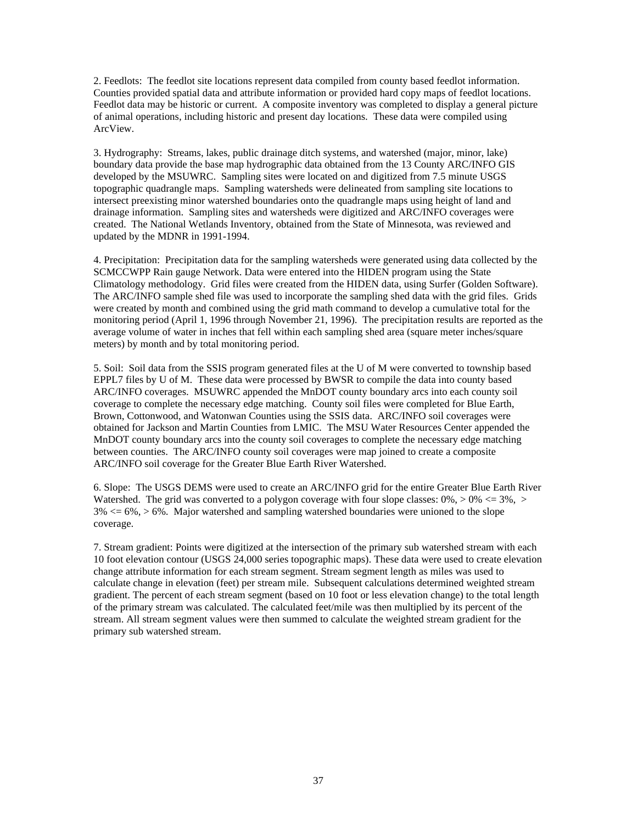2. Feedlots: The feedlot site locations represent data compiled from county based feedlot information. Counties provided spatial data and attribute information or provided hard copy maps of feedlot locations. Feedlot data may be historic or current. A composite inventory was completed to display a general picture of animal operations, including historic and present day locations. These data were compiled using ArcView.

3. Hydrography: Streams, lakes, public drainage ditch systems, and watershed (major, minor, lake) boundary data provide the base map hydrographic data obtained from the 13 County ARC/INFO GIS developed by the MSUWRC. Sampling sites were located on and digitized from 7.5 minute USGS topographic quadrangle maps. Sampling watersheds were delineated from sampling site locations to intersect preexisting minor watershed boundaries onto the quadrangle maps using height of land and drainage information. Sampling sites and watersheds were digitized and ARC/INFO coverages were created. The National Wetlands Inventory, obtained from the State of Minnesota, was reviewed and updated by the MDNR in 1991-1994.

4. Precipitation: Precipitation data for the sampling watersheds were generated using data collected by the SCMCCWPP Rain gauge Network. Data were entered into the HIDEN program using the State Climatology methodology. Grid files were created from the HIDEN data, using Surfer (Golden Software). The ARC/INFO sample shed file was used to incorporate the sampling shed data with the grid files. Grids were created by month and combined using the grid math command to develop a cumulative total for the monitoring period (April 1, 1996 through November 21, 1996). The precipitation results are reported as the average volume of water in inches that fell within each sampling shed area (square meter inches/square meters) by month and by total monitoring period.

5. Soil: Soil data from the SSIS program generated files at the U of M were converted to township based EPPL7 files by U of M. These data were processed by BWSR to compile the data into county based ARC/INFO coverages. MSUWRC appended the MnDOT county boundary arcs into each county soil coverage to complete the necessary edge matching. County soil files were completed for Blue Earth, Brown, Cottonwood, and Watonwan Counties using the SSIS data. ARC/INFO soil coverages were obtained for Jackson and Martin Counties from LMIC. The MSU Water Resources Center appended the MnDOT county boundary arcs into the county soil coverages to complete the necessary edge matching between counties. The ARC/INFO county soil coverages were map joined to create a composite ARC/INFO soil coverage for the Greater Blue Earth River Watershed.

6. Slope: The USGS DEMS were used to create an ARC/INFO grid for the entire Greater Blue Earth River Watershed. The grid was converted to a polygon coverage with four slope classes:  $0\%$ ,  $> 0\%$   $\leq 3\%$ ,  $>$  $3\% \leq 6\%, > 6\%$ . Major watershed and sampling watershed boundaries were unioned to the slope coverage.

7. Stream gradient: Points were digitized at the intersection of the primary sub watershed stream with each 10 foot elevation contour (USGS 24,000 series topographic maps). These data were used to create elevation change attribute information for each stream segment. Stream segment length as miles was used to calculate change in elevation (feet) per stream mile. Subsequent calculations determined weighted stream gradient. The percent of each stream segment (based on 10 foot or less elevation change) to the total length of the primary stream was calculated. The calculated feet/mile was then multiplied by its percent of the stream. All stream segment values were then summed to calculate the weighted stream gradient for the primary sub watershed stream.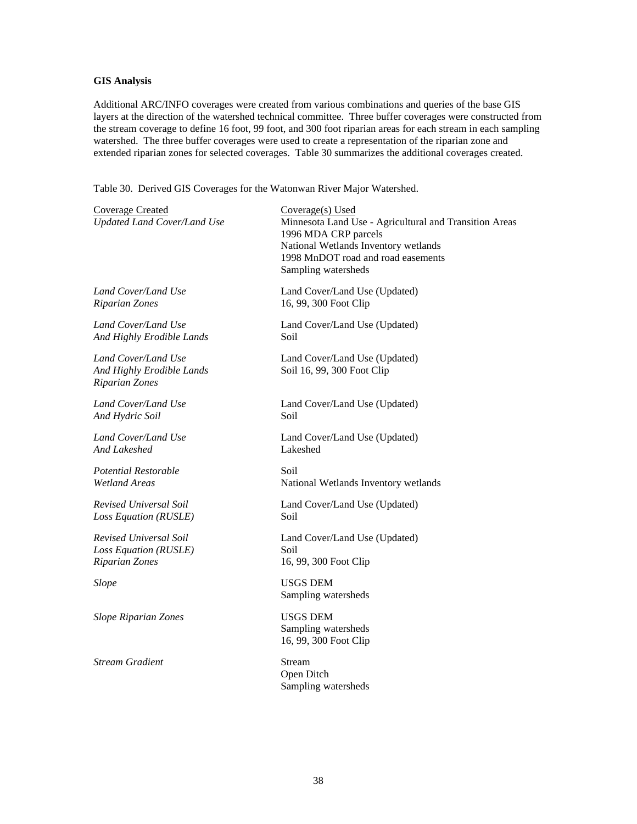# **GIS Analysis**

Additional ARC/INFO coverages were created from various combinations and queries of the base GIS layers at the direction of the watershed technical committee. Three buffer coverages were constructed from the stream coverage to define 16 foot, 99 foot, and 300 foot riparian areas for each stream in each sampling watershed. The three buffer coverages were used to create a representation of the riparian zone and extended riparian zones for selected coverages. Table 30 summarizes the additional coverages created.

Table 30. Derived GIS Coverages for the Watonwan River Major Watershed.

| <b>Coverage Created</b><br><b>Updated Land Cover/Land Use</b>             | $Coverage(s)$ Used<br>Minnesota Land Use - Agricultural and Transition Areas<br>1996 MDA CRP parcels<br>National Wetlands Inventory wetlands<br>1998 MnDOT road and road easements<br>Sampling watersheds |
|---------------------------------------------------------------------------|-----------------------------------------------------------------------------------------------------------------------------------------------------------------------------------------------------------|
| Land Cover/Land Use                                                       | Land Cover/Land Use (Updated)                                                                                                                                                                             |
| <b>Riparian Zones</b>                                                     | 16, 99, 300 Foot Clip                                                                                                                                                                                     |
| Land Cover/Land Use                                                       | Land Cover/Land Use (Updated)                                                                                                                                                                             |
| And Highly Erodible Lands                                                 | Soil                                                                                                                                                                                                      |
| Land Cover/Land Use<br>And Highly Erodible Lands<br><b>Riparian Zones</b> | Land Cover/Land Use (Updated)<br>Soil 16, 99, 300 Foot Clip                                                                                                                                               |
| Land Cover/Land Use                                                       | Land Cover/Land Use (Updated)                                                                                                                                                                             |
| And Hydric Soil                                                           | Soil                                                                                                                                                                                                      |
| Land Cover/Land Use                                                       | Land Cover/Land Use (Updated)                                                                                                                                                                             |
| And Lakeshed                                                              | Lakeshed                                                                                                                                                                                                  |
| Potential Restorable                                                      | Soil                                                                                                                                                                                                      |
| <b>Wetland Areas</b>                                                      | National Wetlands Inventory wetlands                                                                                                                                                                      |
| Revised Universal Soil                                                    | Land Cover/Land Use (Updated)                                                                                                                                                                             |
| Loss Equation (RUSLE)                                                     | Soil                                                                                                                                                                                                      |
| Revised Universal Soil                                                    | Land Cover/Land Use (Updated)                                                                                                                                                                             |
| Loss Equation (RUSLE)                                                     | Soil                                                                                                                                                                                                      |
| <b>Riparian Zones</b>                                                     | 16, 99, 300 Foot Clip                                                                                                                                                                                     |
| <b>Slope</b>                                                              | <b>USGS DEM</b><br>Sampling watersheds                                                                                                                                                                    |
| <b>Slope Riparian Zones</b>                                               | <b>USGS DEM</b><br>Sampling watersheds<br>16, 99, 300 Foot Clip                                                                                                                                           |
| <b>Stream Gradient</b>                                                    | Stream<br>Open Ditch<br>Sampling watersheds                                                                                                                                                               |